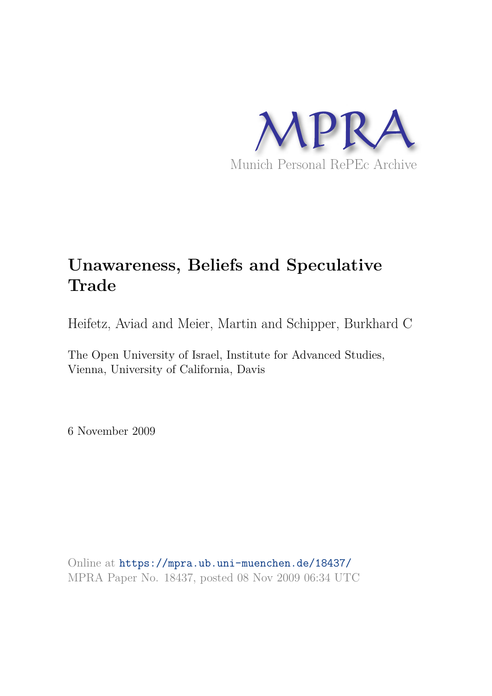

# **Unawareness, Beliefs and Speculative Trade**

Heifetz, Aviad and Meier, Martin and Schipper, Burkhard C

The Open University of Israel, Institute for Advanced Studies, Vienna, University of California, Davis

6 November 2009

Online at https://mpra.ub.uni-muenchen.de/18437/ MPRA Paper No. 18437, posted 08 Nov 2009 06:34 UTC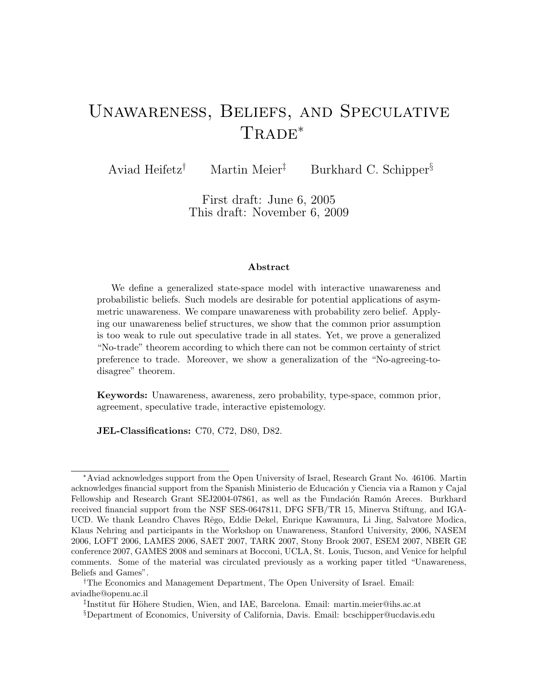# Unawareness, Beliefs, and Speculative TRADE<sup>\*</sup>

Aviad Heifetz† Martin Meier‡ Burkhard C. Schipper§

First draft: June 6, 2005 This draft: November 6, 2009

#### Abstract

We define a generalized state-space model with interactive unawareness and probabilistic beliefs. Such models are desirable for potential applications of asymmetric unawareness. We compare unawareness with probability zero belief. Applying our unawareness belief structures, we show that the common prior assumption is too weak to rule out speculative trade in all states. Yet, we prove a generalized "No-trade" theorem according to which there can not be common certainty of strict preference to trade. Moreover, we show a generalization of the "No-agreeing-todisagree" theorem.

Keywords: Unawareness, awareness, zero probability, type-space, common prior, agreement, speculative trade, interactive epistemology.

JEL-Classifications: C70, C72, D80, D82.

<sup>∗</sup>Aviad acknowledges support from the Open University of Israel, Research Grant No. 46106. Martin acknowledges financial support from the Spanish Ministerio de Educación y Ciencia via a Ramon y Cajal Fellowship and Research Grant SEJ2004-07861, as well as the Fundación Ramón Areces. Burkhard received financial support from the NSF SES-0647811, DFG SFB/TR 15, Minerva Stiftung, and IGA-UCD. We thank Leandro Chaves Rêgo, Eddie Dekel, Enrique Kawamura, Li Jing, Salvatore Modica, Klaus Nehring and participants in the Workshop on Unawareness, Stanford University, 2006, NASEM 2006, LOFT 2006, LAMES 2006, SAET 2007, TARK 2007, Stony Brook 2007, ESEM 2007, NBER GE conference 2007, GAMES 2008 and seminars at Bocconi, UCLA, St. Louis, Tucson, and Venice for helpful comments. Some of the material was circulated previously as a working paper titled "Unawareness, Beliefs and Games".

<sup>†</sup>The Economics and Management Department, The Open University of Israel. Email: aviadhe@openu.ac.il

<sup>&</sup>lt;sup>‡</sup>Institut für Höhere Studien, Wien, and IAE, Barcelona. Email: martin.meier@ihs.ac.at

<sup>§</sup>Department of Economics, University of California, Davis. Email: bcschipper@ucdavis.edu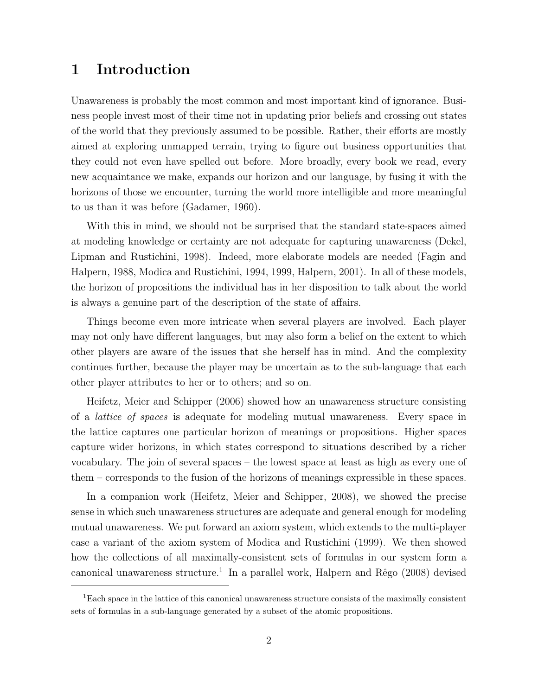# 1 Introduction

Unawareness is probably the most common and most important kind of ignorance. Business people invest most of their time not in updating prior beliefs and crossing out states of the world that they previously assumed to be possible. Rather, their efforts are mostly aimed at exploring unmapped terrain, trying to figure out business opportunities that they could not even have spelled out before. More broadly, every book we read, every new acquaintance we make, expands our horizon and our language, by fusing it with the horizons of those we encounter, turning the world more intelligible and more meaningful to us than it was before (Gadamer, 1960).

With this in mind, we should not be surprised that the standard state-spaces aimed at modeling knowledge or certainty are not adequate for capturing unawareness (Dekel, Lipman and Rustichini, 1998). Indeed, more elaborate models are needed (Fagin and Halpern, 1988, Modica and Rustichini, 1994, 1999, Halpern, 2001). In all of these models, the horizon of propositions the individual has in her disposition to talk about the world is always a genuine part of the description of the state of affairs.

Things become even more intricate when several players are involved. Each player may not only have different languages, but may also form a belief on the extent to which other players are aware of the issues that she herself has in mind. And the complexity continues further, because the player may be uncertain as to the sub-language that each other player attributes to her or to others; and so on.

Heifetz, Meier and Schipper (2006) showed how an unawareness structure consisting of a lattice of spaces is adequate for modeling mutual unawareness. Every space in the lattice captures one particular horizon of meanings or propositions. Higher spaces capture wider horizons, in which states correspond to situations described by a richer vocabulary. The join of several spaces – the lowest space at least as high as every one of them – corresponds to the fusion of the horizons of meanings expressible in these spaces.

In a companion work (Heifetz, Meier and Schipper, 2008), we showed the precise sense in which such unawareness structures are adequate and general enough for modeling mutual unawareness. We put forward an axiom system, which extends to the multi-player case a variant of the axiom system of Modica and Rustichini (1999). We then showed how the collections of all maximally-consistent sets of formulas in our system form a canonical unawareness structure.<sup>1</sup> In a parallel work, Halpern and Rêgo (2008) devised

 $1<sup>1</sup>$ Each space in the lattice of this canonical unawareness structure consists of the maximally consistent sets of formulas in a sub-language generated by a subset of the atomic propositions.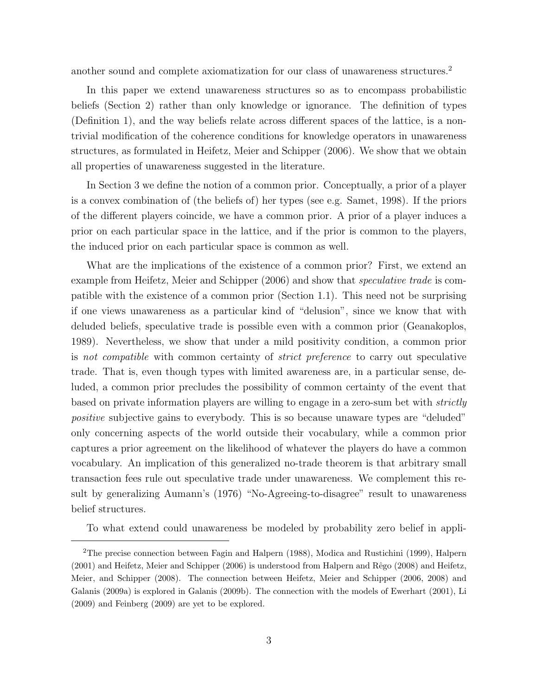another sound and complete axiomatization for our class of unawareness structures.<sup>2</sup>

In this paper we extend unawareness structures so as to encompass probabilistic beliefs (Section 2) rather than only knowledge or ignorance. The definition of types (Definition 1), and the way beliefs relate across different spaces of the lattice, is a nontrivial modification of the coherence conditions for knowledge operators in unawareness structures, as formulated in Heifetz, Meier and Schipper (2006). We show that we obtain all properties of unawareness suggested in the literature.

In Section 3 we define the notion of a common prior. Conceptually, a prior of a player is a convex combination of (the beliefs of) her types (see e.g. Samet, 1998). If the priors of the different players coincide, we have a common prior. A prior of a player induces a prior on each particular space in the lattice, and if the prior is common to the players, the induced prior on each particular space is common as well.

What are the implications of the existence of a common prior? First, we extend an example from Heifetz, Meier and Schipper (2006) and show that speculative trade is compatible with the existence of a common prior (Section 1.1). This need not be surprising if one views unawareness as a particular kind of "delusion", since we know that with deluded beliefs, speculative trade is possible even with a common prior (Geanakoplos, 1989). Nevertheless, we show that under a mild positivity condition, a common prior is not compatible with common certainty of *strict preference* to carry out speculative trade. That is, even though types with limited awareness are, in a particular sense, deluded, a common prior precludes the possibility of common certainty of the event that based on private information players are willing to engage in a zero-sum bet with strictly positive subjective gains to everybody. This is so because unaware types are "deluded" only concerning aspects of the world outside their vocabulary, while a common prior captures a prior agreement on the likelihood of whatever the players do have a common vocabulary. An implication of this generalized no-trade theorem is that arbitrary small transaction fees rule out speculative trade under unawareness. We complement this result by generalizing Aumann's (1976) "No-Agreeing-to-disagree" result to unawareness belief structures.

To what extend could unawareness be modeled by probability zero belief in appli-

<sup>2</sup>The precise connection between Fagin and Halpern (1988), Modica and Rustichini (1999), Halpern (2001) and Heifetz, Meier and Schipper (2006) is understood from Halpern and Rêgo (2008) and Heifetz, Meier, and Schipper (2008). The connection between Heifetz, Meier and Schipper (2006, 2008) and Galanis (2009a) is explored in Galanis (2009b). The connection with the models of Ewerhart (2001), Li (2009) and Feinberg (2009) are yet to be explored.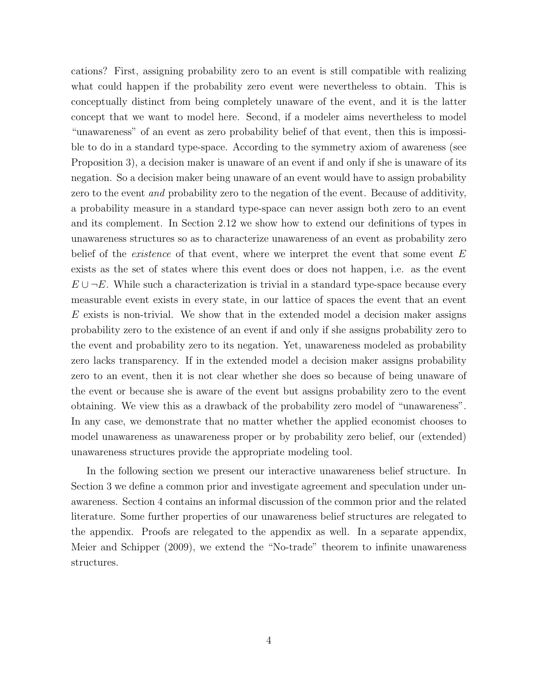cations? First, assigning probability zero to an event is still compatible with realizing what could happen if the probability zero event were nevertheless to obtain. This is conceptually distinct from being completely unaware of the event, and it is the latter concept that we want to model here. Second, if a modeler aims nevertheless to model "unawareness" of an event as zero probability belief of that event, then this is impossible to do in a standard type-space. According to the symmetry axiom of awareness (see Proposition 3), a decision maker is unaware of an event if and only if she is unaware of its negation. So a decision maker being unaware of an event would have to assign probability zero to the event *and* probability zero to the negation of the event. Because of additivity, a probability measure in a standard type-space can never assign both zero to an event and its complement. In Section 2.12 we show how to extend our definitions of types in unawareness structures so as to characterize unawareness of an event as probability zero belief of the *existence* of that event, where we interpret the event that some event  $E$ exists as the set of states where this event does or does not happen, i.e. as the event  $E \cup \neg E$ . While such a characterization is trivial in a standard type-space because every measurable event exists in every state, in our lattice of spaces the event that an event  $E$  exists is non-trivial. We show that in the extended model a decision maker assigns probability zero to the existence of an event if and only if she assigns probability zero to the event and probability zero to its negation. Yet, unawareness modeled as probability zero lacks transparency. If in the extended model a decision maker assigns probability zero to an event, then it is not clear whether she does so because of being unaware of the event or because she is aware of the event but assigns probability zero to the event obtaining. We view this as a drawback of the probability zero model of "unawareness". In any case, we demonstrate that no matter whether the applied economist chooses to model unawareness as unawareness proper or by probability zero belief, our (extended) unawareness structures provide the appropriate modeling tool.

In the following section we present our interactive unawareness belief structure. In Section 3 we define a common prior and investigate agreement and speculation under unawareness. Section 4 contains an informal discussion of the common prior and the related literature. Some further properties of our unawareness belief structures are relegated to the appendix. Proofs are relegated to the appendix as well. In a separate appendix, Meier and Schipper (2009), we extend the "No-trade" theorem to infinite unawareness structures.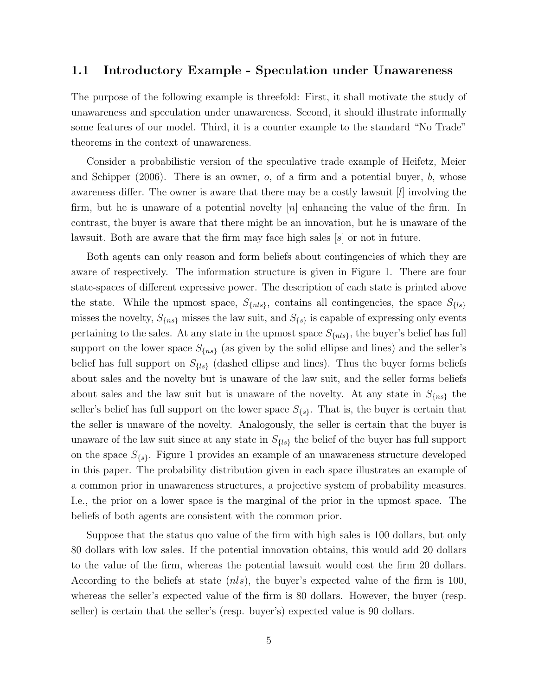#### 1.1 Introductory Example - Speculation under Unawareness

The purpose of the following example is threefold: First, it shall motivate the study of unawareness and speculation under unawareness. Second, it should illustrate informally some features of our model. Third, it is a counter example to the standard "No Trade" theorems in the context of unawareness.

Consider a probabilistic version of the speculative trade example of Heifetz, Meier and Schipper  $(2006)$ . There is an owner,  $o$ , of a firm and a potential buyer,  $b$ , whose awareness differ. The owner is aware that there may be a costly lawsuit  $|l|$  involving the firm, but he is unaware of a potential novelty  $[n]$  enhancing the value of the firm. In contrast, the buyer is aware that there might be an innovation, but he is unaware of the lawsuit. Both are aware that the firm may face high sales [s] or not in future.

Both agents can only reason and form beliefs about contingencies of which they are aware of respectively. The information structure is given in Figure 1. There are four state-spaces of different expressive power. The description of each state is printed above the state. While the upmost space,  $S_{\{nls\}}$ , contains all contingencies, the space  $S_{\{ls\}}$ misses the novelty,  $S_{\{ns\}}$  misses the law suit, and  $S_{\{s\}}$  is capable of expressing only events pertaining to the sales. At any state in the upmost space  $S_{\{nls\}}$ , the buyer's belief has full support on the lower space  $S_{\{ns\}}$  (as given by the solid ellipse and lines) and the seller's belief has full support on  $S_{\{ls\}}$  (dashed ellipse and lines). Thus the buyer forms beliefs about sales and the novelty but is unaware of the law suit, and the seller forms beliefs about sales and the law suit but is unaware of the novelty. At any state in  $S_{\{ns\}}$  the seller's belief has full support on the lower space  $S_{\{s\}}$ . That is, the buyer is certain that the seller is unaware of the novelty. Analogously, the seller is certain that the buyer is unaware of the law suit since at any state in  $S_{\{ls\}}$  the belief of the buyer has full support on the space  $S_{\{s\}}$ . Figure 1 provides an example of an unawareness structure developed in this paper. The probability distribution given in each space illustrates an example of a common prior in unawareness structures, a projective system of probability measures. I.e., the prior on a lower space is the marginal of the prior in the upmost space. The beliefs of both agents are consistent with the common prior.

Suppose that the status quo value of the firm with high sales is 100 dollars, but only 80 dollars with low sales. If the potential innovation obtains, this would add 20 dollars to the value of the firm, whereas the potential lawsuit would cost the firm 20 dollars. According to the beliefs at state  $(nls)$ , the buyer's expected value of the firm is 100, whereas the seller's expected value of the firm is 80 dollars. However, the buyer (resp. seller) is certain that the seller's (resp. buyer's) expected value is 90 dollars.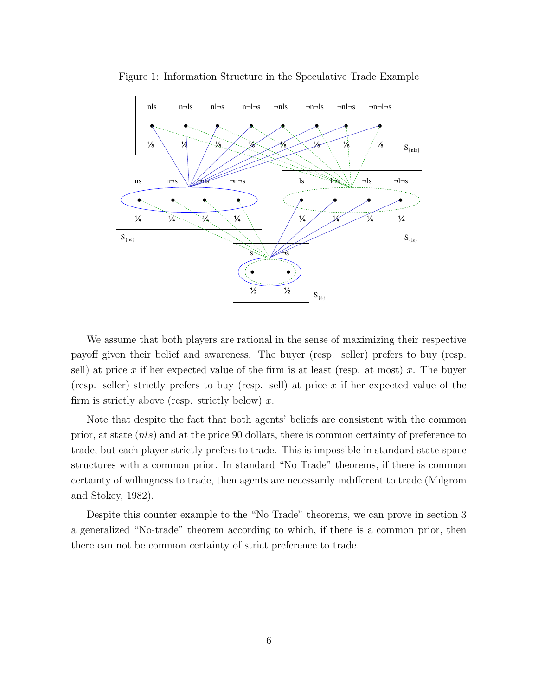

Figure 1: Information Structure in the Speculative Trade Example

We assume that both players are rational in the sense of maximizing their respective payoff given their belief and awareness. The buyer (resp. seller) prefers to buy (resp. sell) at price x if her expected value of the firm is at least (resp. at most) x. The buyer (resp. seller) strictly prefers to buy (resp. sell) at price x if her expected value of the firm is strictly above (resp. strictly below)  $x$ .

Note that despite the fact that both agents' beliefs are consistent with the common prior, at state (nls) and at the price 90 dollars, there is common certainty of preference to trade, but each player strictly prefers to trade. This is impossible in standard state-space structures with a common prior. In standard "No Trade" theorems, if there is common certainty of willingness to trade, then agents are necessarily indifferent to trade (Milgrom and Stokey, 1982).

Despite this counter example to the "No Trade" theorems, we can prove in section 3 a generalized "No-trade" theorem according to which, if there is a common prior, then there can not be common certainty of strict preference to trade.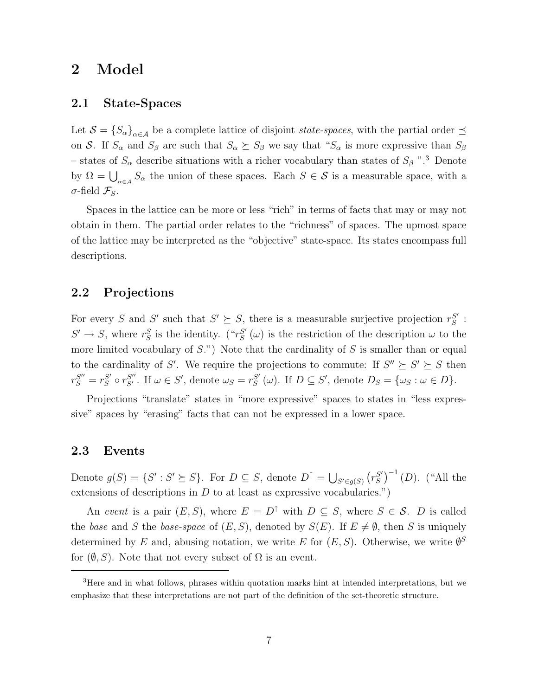# 2 Model

#### 2.1 State-Spaces

Let  $S = \{S_{\alpha}\}_{{\alpha \in A}}$  be a complete lattice of disjoint *state-spaces*, with the partial order  $\preceq$ on S. If  $S_\alpha$  and  $S_\beta$  are such that  $S_\alpha \succeq S_\beta$  we say that " $S_\alpha$  is more expressive than  $S_\beta$ – states of  $S_{\alpha}$  describe situations with a richer vocabulary than states of  $S_{\beta}$  ".<sup>3</sup> Denote by  $\Omega = \bigcup_{\alpha \in A} S_{\alpha}$  the union of these spaces. Each  $S \in \mathcal{S}$  is a measurable space, with a  $\sigma$ -field  $\mathcal{F}_S$ .

Spaces in the lattice can be more or less "rich" in terms of facts that may or may not obtain in them. The partial order relates to the "richness" of spaces. The upmost space of the lattice may be interpreted as the "objective" state-space. Its states encompass full descriptions.

## 2.2 Projections

For every S and S' such that  $S' \succeq S$ , there is a measurable surjective projection  $r_S^{S'}$  $^S_S$  :  $S' \to S$ , where  $r_S^S$  is the identity. (" $r_S^{S'}$  $S(S(\omega))$  is the restriction of the description  $\omega$  to the more limited vocabulary of  $S$ .") Note that the cardinality of  $S$  is smaller than or equal to the cardinality of S'. We require the projections to commute: If  $S'' \succeq S' \succeq S$  then  $r_S^{S''}=r_S^{S'}$  $S'_{S} \circ r_{S'}^{S''}$ . If  $\omega \in S'$ , denote  $\omega_{S} = r_{S}^{S'}$  $S'_{S}(\omega)$ . If  $D \subseteq S'$ , denote  $D_{S} = {\omega_{S} : \omega \in D}.$ 

Projections "translate" states in "more expressive" spaces to states in "less expressive" spaces by "erasing" facts that can not be expressed in a lower space.

# 2.3 Events

Denote  $g(S) = \{S' : S' \succeq S\}$ . For  $D \subseteq S$ , denote  $D^{\uparrow} = \bigcup_{S' \in g(S)} (r_S^{S'})$  $S'\choose S$ <sup>-1</sup>(D). ("All the extensions of descriptions in  $D$  to at least as expressive vocabularies.")

An event is a pair  $(E, S)$ , where  $E = D^{\uparrow}$  with  $D \subseteq S$ , where  $S \in \mathcal{S}$ . D is called the base and S the base-space of  $(E, S)$ , denoted by  $S(E)$ . If  $E \neq \emptyset$ , then S is uniquely determined by E and, abusing notation, we write E for  $(E, S)$ . Otherwise, we write  $\emptyset^S$ for  $(\emptyset, S)$ . Note that not every subset of  $\Omega$  is an event.

<sup>3</sup>Here and in what follows, phrases within quotation marks hint at intended interpretations, but we emphasize that these interpretations are not part of the definition of the set-theoretic structure.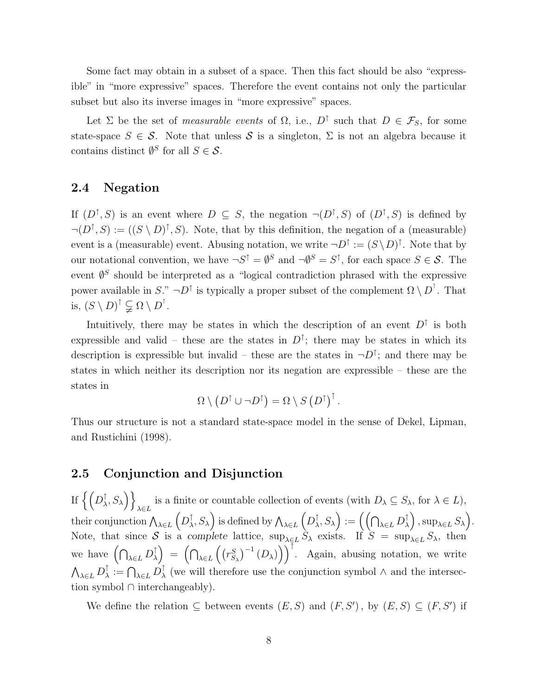Some fact may obtain in a subset of a space. Then this fact should be also "expressible" in "more expressive" spaces. Therefore the event contains not only the particular subset but also its inverse images in "more expressive" spaces.

Let  $\Sigma$  be the set of *measurable events* of  $\Omega$ , i.e.,  $D^{\uparrow}$  such that  $D \in \mathcal{F}_S$ , for some state-space  $S \in \mathcal{S}$ . Note that unless  $\mathcal{S}$  is a singleton,  $\Sigma$  is not an algebra because it contains distinct  $\emptyset^S$  for all  $S \in \mathcal{S}$ .

# 2.4 Negation

If  $(D^{\uparrow}, S)$  is an event where  $D \subseteq S$ , the negation  $\neg(D^{\uparrow}, S)$  of  $(D^{\uparrow}, S)$  is defined by  $\neg(D^{\uparrow}, S) := ((S \setminus D)^{\uparrow}, S)$ . Note, that by this definition, the negation of a (measurable) event is a (measurable) event. Abusing notation, we write  $\neg D^{\uparrow} := (S \setminus D)^{\uparrow}$ . Note that by our notational convention, we have  $\neg S^{\uparrow} = \emptyset^S$  and  $\neg \emptyset^S = S^{\uparrow}$ , for each space  $S \in \mathcal{S}$ . The event  $\emptyset^S$  should be interpreted as a "logical contradiction phrased with the expressive power available in S."  $\neg D^{\dagger}$  is typically a proper subset of the complement  $\Omega \setminus D^{\dagger}$ . That is,  $(S \setminus D)^{\uparrow} \subsetneq \Omega \setminus D^{\uparrow}$ .

Intuitively, there may be states in which the description of an event  $D^{\uparrow}$  is both expressible and valid – these are the states in  $D^{\uparrow}$ ; there may be states in which its description is expressible but invalid – these are the states in  $\neg D^{\uparrow}$ ; and there may be states in which neither its description nor its negation are expressible – these are the states in

$$
\Omega \setminus \left(D^{\uparrow} \cup \neg D^{\uparrow}\right) = \Omega \setminus S\left(D^{\uparrow}\right)^{\uparrow}.
$$

Thus our structure is not a standard state-space model in the sense of Dekel, Lipman, and Rustichini (1998).

# 2.5 Conjunction and Disjunction

If  $\big\{ \big(D_\lambda^\uparrow$  $\left\{\frac{1}{\lambda}, S_{\lambda}\right\}$ is a finite or countable collection of events (with  $D_{\lambda} \subseteq S_{\lambda}$ , for  $\lambda \in L$ ), their conjunction  $\bigwedge_{\lambda \in L} \left( D_{\lambda}^{\uparrow} \right)$  $\left(\bigwedge^{\uparrow},S_{\lambda}\right)$  is defined by  $\bigwedge_{\lambda\in L}\left(D_{\lambda}^{\uparrow}\right)$  $\left(\bigcap_{\lambda \in L} D^\uparrow_\lambda\right) := \Big(\Big(\bigcap_{\lambda \in L} D^\uparrow_\lambda\Big)$  $\big(\begin{smallmatrix} \uparrow \cr \lambda \end{smallmatrix}\big)$  ,  $\sup_{\lambda \in L} S_\lambda\Big)$ . Note, that since S is a complete lattice,  $\sup_{\lambda \in L} S_{\lambda}$  exists. If  $S = \sup_{\lambda \in L} S_{\lambda}$ , then we have  $\left(\bigcap_{\lambda \in L} D^\uparrow_\lambda\right)$  $\begin{pmatrix} \n\lambda \n\end{pmatrix} = \left( \bigcap_{\lambda \in L} \left( \left( r_{S_{\lambda}}^{S} \right)^{-1} (D_{\lambda}) \right) \right)^{\uparrow}$ . Again, abusing notation, we write  $\bigwedge_{\lambda\in L}D^\uparrow_\lambda$  $\stackrel{\uparrow}{\scriptstyle\lambda}:=\bigcap_{\lambda\in L}D^\uparrow_\lambda$  $\lambda$  (we will therefore use the conjunction symbol  $\wedge$  and the intersection symbol ∩ interchangeably).

We define the relation  $\subseteq$  between events  $(E, S)$  and  $(F, S')$ , by  $(E, S) \subseteq (F, S')$  if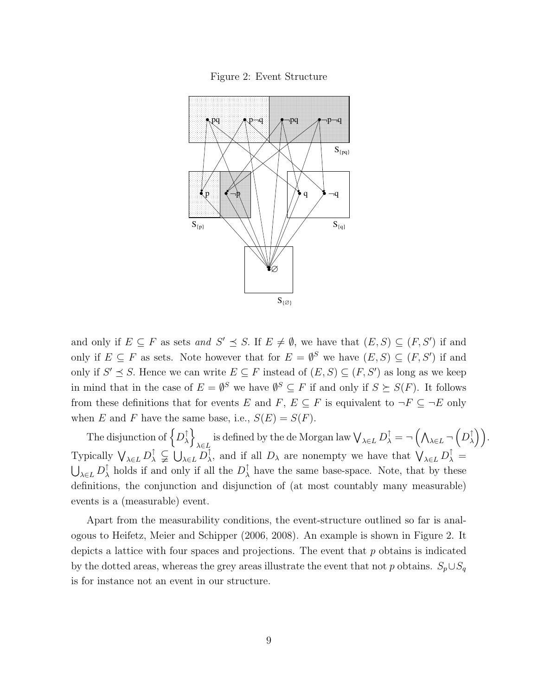Figure 2: Event Structure



and only if  $E \subseteq F$  as sets and  $S' \preceq S$ . If  $E \neq \emptyset$ , we have that  $(E, S) \subseteq (F, S')$  if and only if  $E \subseteq F$  as sets. Note however that for  $E = \emptyset^S$  we have  $(E, S) \subseteq (F, S')$  if and only if  $S' \preceq S$ . Hence we can write  $E \subseteq F$  instead of  $(E, S) \subseteq (F, S')$  as long as we keep in mind that in the case of  $E = \emptyset^S$  we have  $\emptyset^S \subseteq F$  if and only if  $S \succeq S(F)$ . It follows from these definitions that for events E and F,  $E \subseteq F$  is equivalent to  $\neg F \subseteq \neg E$  only when E and F have the same base, i.e.,  $S(E) = S(F)$ .

The disjunction of  $\left\{D^{\uparrow}_{\lambda}\right\}$  $\left\{ \begin{array}{c} \uparrow \\ \lambda \end{array} \right\}$  $\lambda \in L$  is defined by the de Morgan law  $\bigvee_{\lambda \in L} D^{\uparrow}_{\lambda} = \neg \left( \bigwedge_{\lambda \in L} \neg \left( D^{\uparrow}_{\lambda} \right) \right)$  $\left(\begin{matrix} 1 \\ \lambda \end{matrix}\right)$ . Typically  $\bigvee_{\lambda \in L} D_{\lambda}^{\uparrow} \subsetneq \bigcup_{\lambda \in L} D_{\lambda}^{\uparrow}$  $\lambda^{\uparrow}$ , and if all  $D_{\lambda}$  are nonempty we have that  $\bigvee_{\lambda \in L} D_{\lambda}^{\uparrow} =$  $\bigcup_{\lambda \in L} D^\uparrow_\lambda$  $\lambda$ <sub></sub> holds if and only if all the  $D_{\lambda}^{\uparrow}$  $\frac{1}{\lambda}$  have the same base-space. Note, that by these definitions, the conjunction and disjunction of (at most countably many measurable) events is a (measurable) event.

Apart from the measurability conditions, the event-structure outlined so far is analogous to Heifetz, Meier and Schipper (2006, 2008). An example is shown in Figure 2. It depicts a lattice with four spaces and projections. The event that  $p$  obtains is indicated by the dotted areas, whereas the grey areas illustrate the event that not p obtains.  $S_p \cup S_q$ is for instance not an event in our structure.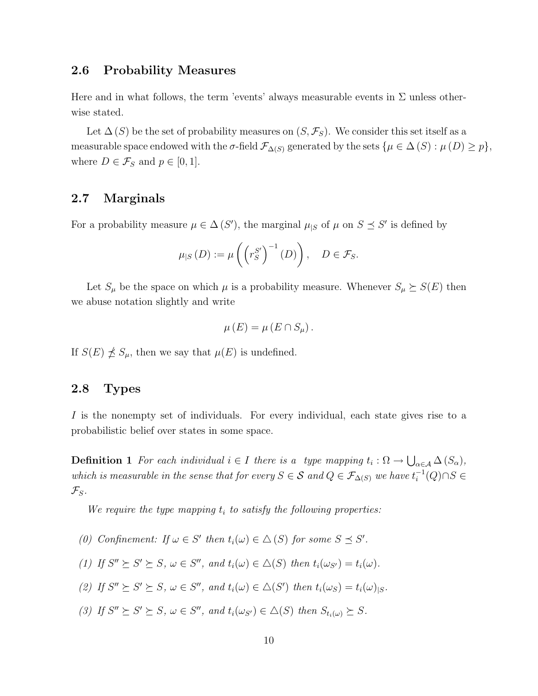### 2.6 Probability Measures

Here and in what follows, the term 'events' always measurable events in  $\Sigma$  unless otherwise stated.

Let  $\Delta(S)$  be the set of probability measures on  $(S, \mathcal{F}_S)$ . We consider this set itself as a measurable space endowed with the  $\sigma$ -field  $\mathcal{F}_{\Delta(S)}$  generated by the sets  $\{\mu \in \Delta(S) : \mu(D) \geq p\},\$ where  $D \in \mathcal{F}_S$  and  $p \in [0, 1]$ .

# 2.7 Marginals

For a probability measure  $\mu \in \Delta(S')$ , the marginal  $\mu_{|S}$  of  $\mu$  on  $S \preceq S'$  is defined by

$$
\mu_{|S}\left(D\right) := \mu\left(\left(r_S^{S'}\right)^{-1}\left(D\right)\right), \quad D \in \mathcal{F}_S.
$$

Let  $S_{\mu}$  be the space on which  $\mu$  is a probability measure. Whenever  $S_{\mu} \succeq S(E)$  then we abuse notation slightly and write

$$
\mu(E) = \mu(E \cap S_{\mu}).
$$

If  $S(E) \npreceq S_\mu$ , then we say that  $\mu(E)$  is undefined.

# 2.8 Types

I is the nonempty set of individuals. For every individual, each state gives rise to a probabilistic belief over states in some space.

**Definition 1** For each individual  $i \in I$  there is a type mapping  $t_i : \Omega \to \bigcup_{\alpha \in A} \Delta(S_\alpha)$ , which is measurable in the sense that for every  $S \in \mathcal{S}$  and  $Q \in \mathcal{F}_{\Delta(S)}$  we have  $t_i^{-1}(Q) \cap S \in$  $\mathcal{F}_S.$ 

We require the type mapping  $t_i$  to satisfy the following properties:

(0) Confinement: If  $\omega \in S'$  then  $t_i(\omega) \in \Delta(S)$  for some  $S \preceq S'$ .

(1) If  $S'' \succeq S' \succeq S$ ,  $\omega \in S''$ , and  $t_i(\omega) \in \Delta(S)$  then  $t_i(\omega_{S'}) = t_i(\omega)$ .

- (2) If  $S'' \succeq S' \succeq S$ ,  $\omega \in S''$ , and  $t_i(\omega) \in \Delta(S')$  then  $t_i(\omega_S) = t_i(\omega)_{|S}$ .
- (3) If  $S'' \succeq S' \succeq S$ ,  $\omega \in S''$ , and  $t_i(\omega_{S'}) \in \Delta(S)$  then  $S_{t_i(\omega)} \succeq S$ .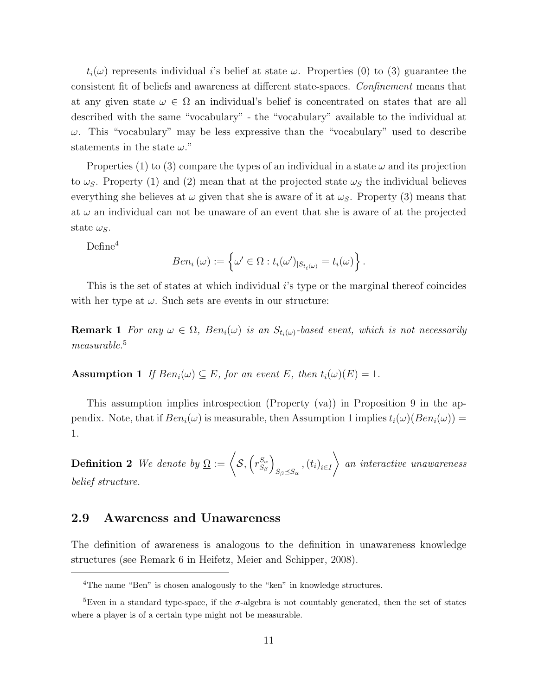$t_i(\omega)$  represents individual i's belief at state  $\omega$ . Properties (0) to (3) guarantee the consistent fit of beliefs and awareness at different state-spaces. Confinement means that at any given state  $\omega \in \Omega$  an individual's belief is concentrated on states that are all described with the same "vocabulary" - the "vocabulary" available to the individual at  $\omega$ . This "vocabulary" may be less expressive than the "vocabulary" used to describe statements in the state  $\omega$ ."

Properties (1) to (3) compare the types of an individual in a state  $\omega$  and its projection to  $\omega_s$ . Property (1) and (2) mean that at the projected state  $\omega_s$  the individual believes everything she believes at  $\omega$  given that she is aware of it at  $\omega_{S}$ . Property (3) means that at  $\omega$  an individual can not be unaware of an event that she is aware of at the projected state  $\omega_S$ .

 $Define<sup>4</sup>$ 

$$
Ben_i(\omega) := \left\{ \omega' \in \Omega : t_i(\omega')_{|S_{t_i(\omega)}} = t_i(\omega) \right\}.
$$

This is the set of states at which individual *i*'s type or the marginal thereof coincides with her type at  $\omega$ . Such sets are events in our structure:

**Remark 1** For any  $\omega \in \Omega$ ,  $Ben_i(\omega)$  is an  $S_{t_i(\omega)}$ -based event, which is not necessarily  $measurable.<sup>5</sup>$ 

**Assumption 1** If  $Ben_i(\omega) \subseteq E$ , for an event E, then  $t_i(\omega)(E) = 1$ .

This assumption implies introspection (Property (va)) in Proposition 9 in the appendix. Note, that if  $Ben_i(\omega)$  is measurable, then Assumption 1 implies  $t_i(\omega)(Ben_i(\omega)) =$ 1.

**Definition 2** We denote by  $\Omega := \langle S, (r_{S_d}^{S_d}) \rangle$  $S_{\alpha} \brace S_{\beta}$  $_{S_{\beta}\preceq S_{\alpha}}$ ,  $(t_i)_{i\in I}$  $\setminus$ an interactive unawareness belief structure.

# 2.9 Awareness and Unawareness

The definition of awareness is analogous to the definition in unawareness knowledge structures (see Remark 6 in Heifetz, Meier and Schipper, 2008).

<sup>&</sup>lt;sup>4</sup>The name "Ben" is chosen analogously to the "ken" in knowledge structures.

<sup>&</sup>lt;sup>5</sup>Even in a standard type-space, if the  $\sigma$ -algebra is not countably generated, then the set of states where a player is of a certain type might not be measurable.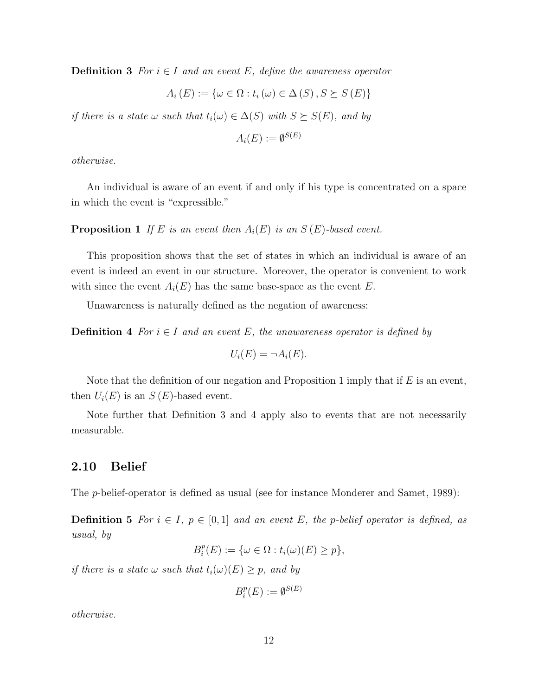**Definition 3** For  $i \in I$  and an event E, define the awareness operator

$$
A_i(E) := \{ \omega \in \Omega : t_i(\omega) \in \Delta(S), S \succeq S(E) \}
$$

if there is a state  $\omega$  such that  $t_i(\omega) \in \Delta(S)$  with  $S \succeq S(E)$ , and by

$$
A_i(E) := \emptyset^{S(E)}
$$

otherwise.

An individual is aware of an event if and only if his type is concentrated on a space in which the event is "expressible."

**Proposition 1** If E is an event then  $A_i(E)$  is an  $S(E)$ -based event.

This proposition shows that the set of states in which an individual is aware of an event is indeed an event in our structure. Moreover, the operator is convenient to work with since the event  $A_i(E)$  has the same base-space as the event E.

Unawareness is naturally defined as the negation of awareness:

**Definition 4** For  $i \in I$  and an event E, the unawareness operator is defined by

$$
U_i(E) = \neg A_i(E).
$$

Note that the definition of our negation and Proposition 1 imply that if  $E$  is an event, then  $U_i(E)$  is an  $S(E)$ -based event.

Note further that Definition 3 and 4 apply also to events that are not necessarily measurable.

#### 2.10 Belief

The p-belief-operator is defined as usual (see for instance Monderer and Samet, 1989):

**Definition 5** For  $i \in I$ ,  $p \in [0,1]$  and an event E, the p-belief operator is defined, as usual, by

$$
B_i^p(E) := \{ \omega \in \Omega : t_i(\omega)(E) \ge p \},
$$

if there is a state  $\omega$  such that  $t_i(\omega)(E) \geq p$ , and by

 $B_i^p$  $i^p(E) := \emptyset^{S(E)}$ 

otherwise.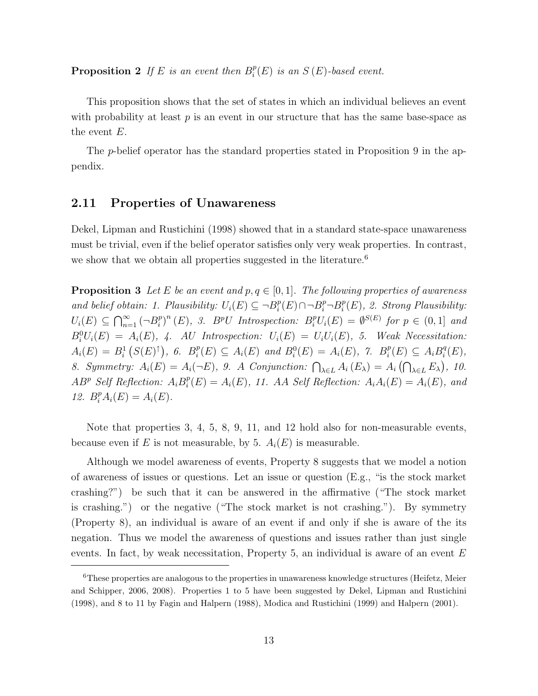**Proposition 2** If E is an event then  $B_i^p$  $i(E)$  is an  $S(E)$ -based event.

This proposition shows that the set of states in which an individual believes an event with probability at least  $p$  is an event in our structure that has the same base-space as the event E.

The p-belief operator has the standard properties stated in Proposition 9 in the appendix.

### 2.11 Properties of Unawareness

Dekel, Lipman and Rustichini (1998) showed that in a standard state-space unawareness must be trivial, even if the belief operator satisfies only very weak properties. In contrast, we show that we obtain all properties suggested in the literature.<sup>6</sup>

**Proposition 3** Let E be an event and  $p, q \in [0, 1]$ . The following properties of awareness and belief obtain: 1. Plausibility:  $U_i(E) \subseteq \neg B_i^p$  $i^p(E) \cap \neg B_i^p \neg B_i^p$  $i<sup>p</sup>(E)$ , 2. Strong Plausibility:  $U_i(E) \subseteq \bigcap_{n=1}^{\infty} (\neg B_i^p)$  $\int_i^p n(E)$ , 3. B<sup>p</sup>U Introspection:  $B_i^p U_i(E) = \emptyset^{S(E)}$  for  $p \in (0,1]$  and  $B_i^0 U_i(E) = A_i(E), \quad A U$  Introspection:  $U_i(E) = U_i U_i(E), \quad L$ . Weak Necessitation:  $A_i(E) = B_i^1(S(E)^{\dagger}), \; \text{6.} \; B_i^p$  $i^p(E) \subseteq A_i(E)$  and  $B_i^0(E) = A_i(E)$ , 7.  $B_i^p$  $_i^p(E) \subseteq A_i B_i^q$  $_i^q(E),$ 8. Symmetry:  $A_i(E) = A_i(\neg E)$ , 9. A Conjunction:  $\bigcap_{\lambda \in L} A_i(E_\lambda) = A_i(\bigcap_{\lambda \in L} E_\lambda)$ , 10.  $AB^p$  Self Reflection:  $A_i B_i^p$  $i<sup>p</sup>(E) = A<sub>i</sub>(E)$ , 11. AA Self Reflection:  $A<sub>i</sub>A<sub>i</sub>(E) = A<sub>i</sub>(E)$ , and 12.  $B_i^p A_i(E) = A_i(E)$ .

Note that properties 3, 4, 5, 8, 9, 11, and 12 hold also for non-measurable events, because even if E is not measurable, by 5.  $A_i(E)$  is measurable.

Although we model awareness of events, Property 8 suggests that we model a notion of awareness of issues or questions. Let an issue or question (E.g., "is the stock market crashing?") be such that it can be answered in the affirmative ("The stock market is crashing.") or the negative ("The stock market is not crashing."). By symmetry (Property 8), an individual is aware of an event if and only if she is aware of the its negation. Thus we model the awareness of questions and issues rather than just single events. In fact, by weak necessitation, Property 5, an individual is aware of an event  $E$ 

 $6$ These properties are analogous to the properties in unawareness knowledge structures (Heifetz, Meier and Schipper, 2006, 2008). Properties 1 to 5 have been suggested by Dekel, Lipman and Rustichini (1998), and 8 to 11 by Fagin and Halpern (1988), Modica and Rustichini (1999) and Halpern (2001).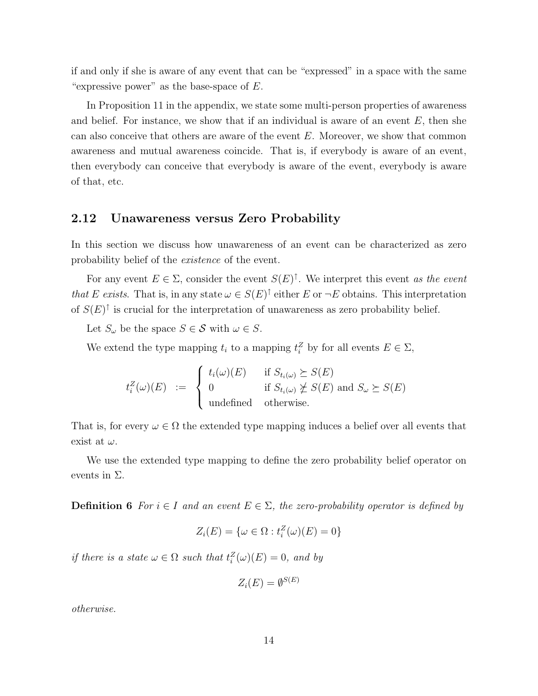if and only if she is aware of any event that can be "expressed" in a space with the same "expressive power" as the base-space of  $E$ .

In Proposition 11 in the appendix, we state some multi-person properties of awareness and belief. For instance, we show that if an individual is aware of an event  $E$ , then she can also conceive that others are aware of the event E. Moreover, we show that common awareness and mutual awareness coincide. That is, if everybody is aware of an event, then everybody can conceive that everybody is aware of the event, everybody is aware of that, etc.

### 2.12 Unawareness versus Zero Probability

In this section we discuss how unawareness of an event can be characterized as zero probability belief of the existence of the event.

For any event  $E \in \Sigma$ , consider the event  $S(E)^{\uparrow}$ . We interpret this event as the event that E exists. That is, in any state  $\omega \in S(E)^{\uparrow}$  either E or  $\neg E$  obtains. This interpretation of  $S(E)^{\uparrow}$  is crucial for the interpretation of unawareness as zero probability belief.

Let  $S_{\omega}$  be the space  $S \in \mathcal{S}$  with  $\omega \in S$ .

We extend the type mapping  $t_i$  to a mapping  $t_i^Z$  by for all events  $E \in \Sigma$ ,

$$
t_i^Z(\omega)(E) := \begin{cases} t_i(\omega)(E) & \text{if } S_{t_i(\omega)} \succeq S(E) \\ 0 & \text{if } S_{t_i(\omega)} \not\subseteq S(E) \text{ and } S_{\omega} \succeq S(E) \\ \text{undefined} & \text{otherwise.} \end{cases}
$$

That is, for every  $\omega \in \Omega$  the extended type mapping induces a belief over all events that exist at  $\omega$ .

We use the extended type mapping to define the zero probability belief operator on events in  $\Sigma$ .

**Definition 6** For  $i \in I$  and an event  $E \in \Sigma$ , the zero-probability operator is defined by

$$
Z_i(E) = \{ \omega \in \Omega : t_i^Z(\omega)(E) = 0 \}
$$

if there is a state  $\omega \in \Omega$  such that  $t_i^Z(\omega)(E) = 0$ , and by

$$
Z_i(E) = \emptyset^{S(E)}
$$

otherwise.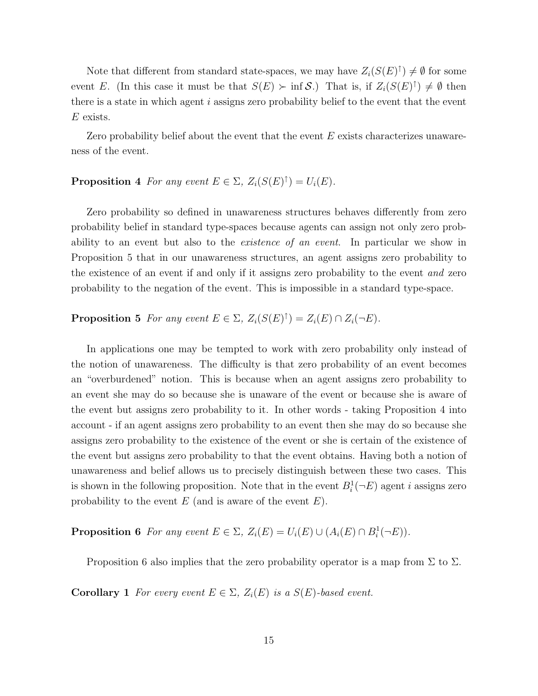Note that different from standard state-spaces, we may have  $Z_i(S(E)^{\uparrow}) \neq \emptyset$  for some event E. (In this case it must be that  $S(E) \succ \inf S$ .) That is, if  $Z_i(S(E)^{\uparrow}) \neq \emptyset$  then there is a state in which agent  $i$  assigns zero probability belief to the event that the event  $E$  exists.

Zero probability belief about the event that the event  $E$  exists characterizes unawareness of the event.

# **Proposition 4** For any event  $E \in \Sigma$ ,  $Z_i(S(E)^{\uparrow}) = U_i(E)$ .

Zero probability so defined in unawareness structures behaves differently from zero probability belief in standard type-spaces because agents can assign not only zero probability to an event but also to the existence of an event. In particular we show in Proposition 5 that in our unawareness structures, an agent assigns zero probability to the existence of an event if and only if it assigns zero probability to the event and zero probability to the negation of the event. This is impossible in a standard type-space.

**Proposition 5** For any event  $E \in \Sigma$ ,  $Z_i(S(E)^{\uparrow}) = Z_i(E) \cap Z_i(\neg E)$ .

In applications one may be tempted to work with zero probability only instead of the notion of unawareness. The difficulty is that zero probability of an event becomes an "overburdened" notion. This is because when an agent assigns zero probability to an event she may do so because she is unaware of the event or because she is aware of the event but assigns zero probability to it. In other words - taking Proposition 4 into account - if an agent assigns zero probability to an event then she may do so because she assigns zero probability to the existence of the event or she is certain of the existence of the event but assigns zero probability to that the event obtains. Having both a notion of unawareness and belief allows us to precisely distinguish between these two cases. This is shown in the following proposition. Note that in the event  $B_i^1(\neg E)$  agent *i* assigns zero probability to the event  $E$  (and is aware of the event  $E$ ).

**Proposition 6** For any event  $E \in \Sigma$ ,  $Z_i(E) = U_i(E) \cup (A_i(E) \cap B_i^1(\neg E)).$ 

Proposition 6 also implies that the zero probability operator is a map from  $\Sigma$  to  $\Sigma$ .

**Corollary 1** For every event  $E \in \Sigma$ ,  $Z_i(E)$  is a  $S(E)$ -based event.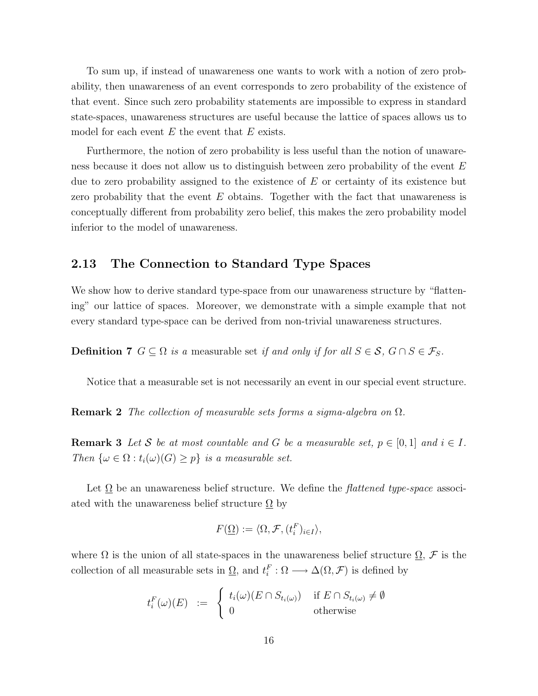To sum up, if instead of unawareness one wants to work with a notion of zero probability, then unawareness of an event corresponds to zero probability of the existence of that event. Since such zero probability statements are impossible to express in standard state-spaces, unawareness structures are useful because the lattice of spaces allows us to model for each event  $E$  the event that  $E$  exists.

Furthermore, the notion of zero probability is less useful than the notion of unawareness because it does not allow us to distinguish between zero probability of the event E due to zero probability assigned to the existence of  $E$  or certainty of its existence but zero probability that the event E obtains. Together with the fact that unawareness is conceptually different from probability zero belief, this makes the zero probability model inferior to the model of unawareness.

# 2.13 The Connection to Standard Type Spaces

We show how to derive standard type-space from our unawareness structure by "flattening" our lattice of spaces. Moreover, we demonstrate with a simple example that not every standard type-space can be derived from non-trivial unawareness structures.

**Definition 7**  $G \subseteq \Omega$  is a measurable set if and only if for all  $S \in \mathcal{S}$ ,  $G \cap S \in \mathcal{F}_S$ .

Notice that a measurable set is not necessarily an event in our special event structure.

**Remark 2** The collection of measurable sets forms a sigma-algebra on  $\Omega$ .

**Remark 3** Let S be at most countable and G be a measurable set,  $p \in [0,1]$  and  $i \in I$ . Then  $\{\omega \in \Omega : t_i(\omega)(G) \geq p\}$  is a measurable set.

Let  $\Omega$  be an unawareness belief structure. We define the *flattened type-space* associated with the unawareness belief structure  $\Omega$  by

$$
F(\underline{\Omega}) := \langle \Omega, \mathcal{F}, (t_i^F)_{i \in I} \rangle,
$$

where  $\Omega$  is the union of all state-spaces in the unawareness belief structure  $\Omega$ ,  $\mathcal F$  is the collection of all measurable sets in  $\underline{\Omega}$ , and  $t_i^F : \Omega \longrightarrow \Delta(\Omega, \mathcal{F})$  is defined by

$$
t_i^F(\omega)(E) := \begin{cases} t_i(\omega)(E \cap S_{t_i(\omega)}) & \text{if } E \cap S_{t_i(\omega)} \neq \emptyset \\ 0 & \text{otherwise} \end{cases}
$$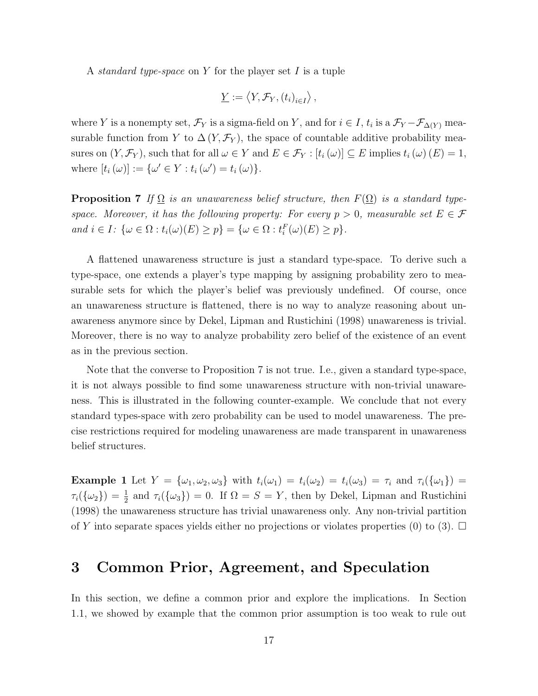A *standard type-space* on Y for the player set I is a tuple

$$
\underline{Y} := \left\langle Y, \mathcal{F}_Y, (t_i)_{i \in I} \right\rangle,
$$

where Y is a nonempty set,  $\mathcal{F}_Y$  is a sigma-field on Y, and for  $i \in I$ ,  $t_i$  is a  $\mathcal{F}_Y - \mathcal{F}_{\Delta(Y)}$  measurable function from Y to  $\Delta(Y, \mathcal{F}_Y)$ , the space of countable additive probability measures on  $(Y, \mathcal{F}_Y)$ , such that for all  $\omega \in Y$  and  $E \in \mathcal{F}_Y : [t_i(\omega)] \subseteq E$  implies  $t_i(\omega)(E) = 1$ , where  $[t_i(\omega)] := {\omega' \in Y : t_i(\omega') = t_i(\omega)}.$ 

**Proposition 7** If  $\Omega$  is an unawareness belief structure, then  $F(\Omega)$  is a standard typespace. Moreover, it has the following property: For every  $p > 0$ , measurable set  $E \in \mathcal{F}$ and  $i \in I$ :  $\{\omega \in \Omega : t_i(\omega)(E) \ge p\} = \{\omega \in \Omega : t_i^F(\omega)(E) \ge p\}.$ 

A flattened unawareness structure is just a standard type-space. To derive such a type-space, one extends a player's type mapping by assigning probability zero to measurable sets for which the player's belief was previously undefined. Of course, once an unawareness structure is flattened, there is no way to analyze reasoning about unawareness anymore since by Dekel, Lipman and Rustichini (1998) unawareness is trivial. Moreover, there is no way to analyze probability zero belief of the existence of an event as in the previous section.

Note that the converse to Proposition 7 is not true. I.e., given a standard type-space, it is not always possible to find some unawareness structure with non-trivial unawareness. This is illustrated in the following counter-example. We conclude that not every standard types-space with zero probability can be used to model unawareness. The precise restrictions required for modeling unawareness are made transparent in unawareness belief structures.

Example 1 Let  $Y = {\omega_1, \omega_2, \omega_3}$  with  $t_i(\omega_1) = t_i(\omega_2) = t_i(\omega_3) = \tau_i$  and  $\tau_i({\omega_1}) =$  $\tau_i(\{\omega_2\}) = \frac{1}{2}$  and  $\tau_i(\{\omega_3\}) = 0$ . If  $\Omega = S = Y$ , then by Dekel, Lipman and Rustichini (1998) the unawareness structure has trivial unawareness only. Any non-trivial partition of Y into separate spaces yields either no projections or violates properties (0) to (3).  $\Box$ 

# 3 Common Prior, Agreement, and Speculation

In this section, we define a common prior and explore the implications. In Section 1.1, we showed by example that the common prior assumption is too weak to rule out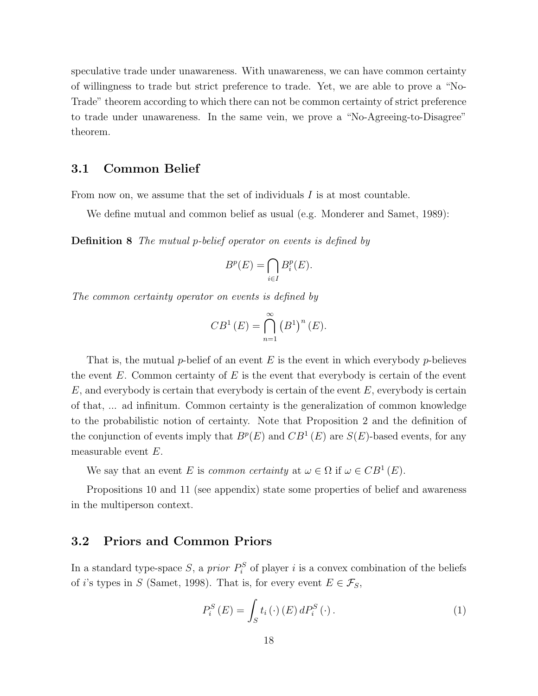speculative trade under unawareness. With unawareness, we can have common certainty of willingness to trade but strict preference to trade. Yet, we are able to prove a "No-Trade" theorem according to which there can not be common certainty of strict preference to trade under unawareness. In the same vein, we prove a "No-Agreeing-to-Disagree" theorem.

# 3.1 Common Belief

From now on, we assume that the set of individuals  $I$  is at most countable.

We define mutual and common belief as usual (e.g. Monderer and Samet, 1989):

**Definition 8** The mutual p-belief operator on events is defined by

$$
B^p(E) = \bigcap_{i \in I} B_i^p(E).
$$

The common certainty operator on events is defined by

$$
CB^{1}(E) = \bigcap_{n=1}^{\infty} (B^{1})^{n}(E).
$$

That is, the mutual p-belief of an event E is the event in which everybody p-believes the event  $E$ . Common certainty of  $E$  is the event that everybody is certain of the event  $E$ , and everybody is certain that everybody is certain of the event  $E$ , everybody is certain of that, ... ad infinitum. Common certainty is the generalization of common knowledge to the probabilistic notion of certainty. Note that Proposition 2 and the definition of the conjunction of events imply that  $B^p(E)$  and  $CB^1(E)$  are  $S(E)$ -based events, for any measurable event  $E$ .

We say that an event E is common certainty at  $\omega \in \Omega$  if  $\omega \in CB^1(E)$ .

Propositions 10 and 11 (see appendix) state some properties of belief and awareness in the multiperson context.

# 3.2 Priors and Common Priors

In a standard type-space S, a *prior*  $P_i^S$  of player i is a convex combination of the beliefs of *i*'s types in S (Samet, 1998). That is, for every event  $E \in \mathcal{F}_S$ ,

$$
P_i^S(E) = \int_S t_i(\cdot) (E) dP_i^S(\cdot).
$$
 (1)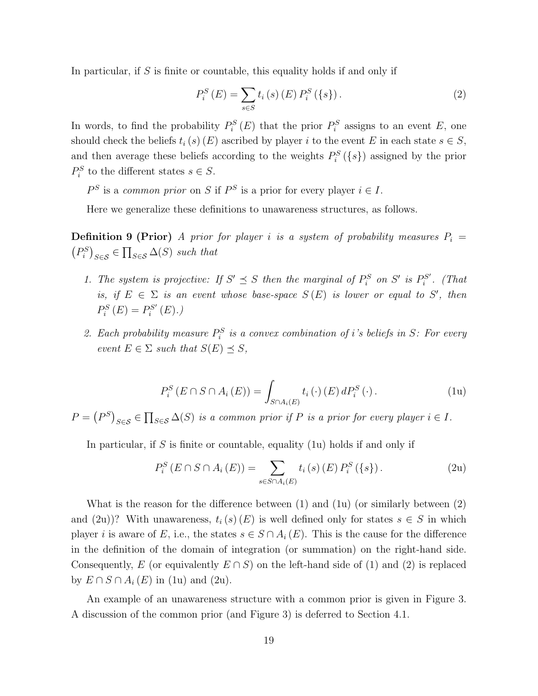In particular, if S is finite or countable, this equality holds if and only if

$$
P_i^S(E) = \sum_{s \in S} t_i(s) (E) P_i^S(\{s\}).
$$
 (2)

In words, to find the probability  $P_i^S(E)$  that the prior  $P_i^S$  assigns to an event E, one should check the beliefs  $t_i(s)$  (E) ascribed by player i to the event E in each state  $s \in S$ , and then average these beliefs according to the weights  $P_i^S(\lbrace s \rbrace)$  assigned by the prior  $P_i^S$  to the different states  $s \in S$ .

 $P<sup>S</sup>$  is a common prior on S if  $P<sup>S</sup>$  is a prior for every player  $i \in I$ .

Here we generalize these definitions to unawareness structures, as follows.

**Definition 9 (Prior)** A prior for player i is a system of probability measures  $P_i =$  $(P_i^S)_{S \in \mathcal{S}} \in \prod_{S \in \mathcal{S}} \Delta(S)$  such that

- 1. The system is projective: If  $S' \preceq S$  then the marginal of  $P_i^S$  on  $S'$  is  $P_i^{S'}$  $i^{S'}$ . (That is, if  $E \in \Sigma$  is an event whose base-space  $S(E)$  is lower or equal to S', then  $P_i^S(E) = P_i^{S'}$  $P_i^{S'}\left(E\right)$ .)
- 2. Each probability measure  $P_i^S$  is a convex combination of i's beliefs in S: For every event  $E \in \Sigma$  such that  $S(E) \preceq S$ ,

$$
P_i^S(E \cap S \cap A_i(E)) = \int_{S \cap A_i(E)} t_i(\cdot) (E) dP_i^S(\cdot).
$$
 (1u)

 $P = (P^S)_{S \in \mathcal{S}} \in \prod_{S \in \mathcal{S}} \Delta(S)$  is a common prior if P is a prior for every player  $i \in I$ .

In particular, if  $S$  is finite or countable, equality (1u) holds if and only if

$$
P_i^S(E \cap S \cap A_i(E)) = \sum_{s \in S \cap A_i(E)} t_i(s) (E) P_i^S(\{s\}).
$$
 (2u)

What is the reason for the difference between  $(1)$  and  $(1u)$  (or similarly between  $(2)$ ) and (2u))? With unawareness,  $t_i(s)(E)$  is well defined only for states  $s \in S$  in which player i is aware of E, i.e., the states  $s \in S \cap A_i(E)$ . This is the cause for the difference in the definition of the domain of integration (or summation) on the right-hand side. Consequently, E (or equivalently  $E \cap S$ ) on the left-hand side of (1) and (2) is replaced by  $E \cap S \cap A_i(E)$  in (1u) and (2u).

An example of an unawareness structure with a common prior is given in Figure 3. A discussion of the common prior (and Figure 3) is deferred to Section 4.1.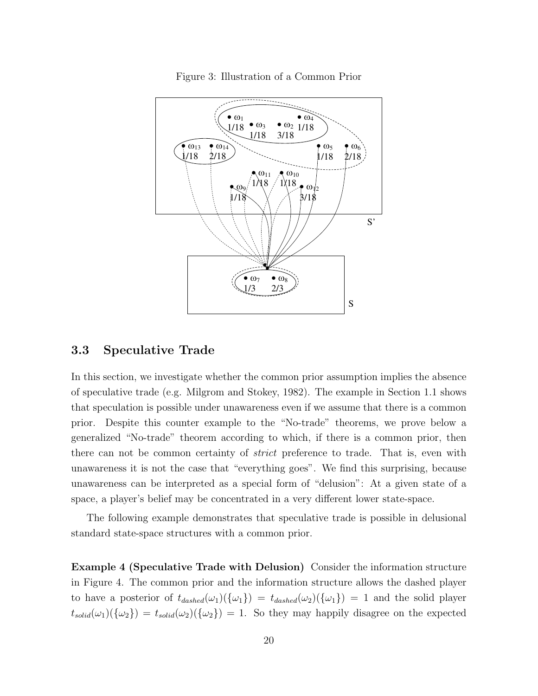

Figure 3: Illustration of a Common Prior

#### 3.3 Speculative Trade

In this section, we investigate whether the common prior assumption implies the absence of speculative trade (e.g. Milgrom and Stokey, 1982). The example in Section 1.1 shows that speculation is possible under unawareness even if we assume that there is a common prior. Despite this counter example to the "No-trade" theorems, we prove below a generalized "No-trade" theorem according to which, if there is a common prior, then there can not be common certainty of *strict* preference to trade. That is, even with unawareness it is not the case that "everything goes". We find this surprising, because unawareness can be interpreted as a special form of "delusion": At a given state of a space, a player's belief may be concentrated in a very different lower state-space.

The following example demonstrates that speculative trade is possible in delusional standard state-space structures with a common prior.

Example 4 (Speculative Trade with Delusion) Consider the information structure in Figure 4. The common prior and the information structure allows the dashed player to have a posterior of  $t_{dashed}(\omega_1)(\{\omega_1\}) = t_{dashed}(\omega_2)(\{\omega_1\}) = 1$  and the solid player  $t_{solid}(\omega_1)(\{\omega_2\}) = t_{solid}(\omega_2)(\{\omega_2\}) = 1$ . So they may happily disagree on the expected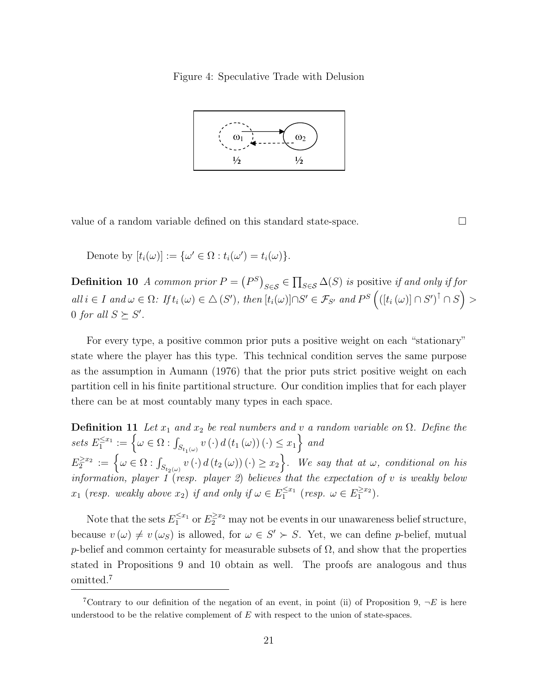Figure 4: Speculative Trade with Delusion



value of a random variable defined on this standard state-space.

Denote by  $[t_i(\omega)] := {\omega' \in \Omega : t_i(\omega') = t_i(\omega)}.$ 

**Definition 10** A common prior  $P = (P^S)_{S \in \mathcal{S}} \in \prod_{S \in \mathcal{S}} \Delta(S)$  is positive if and only if for  $all i \in I \text{ and } \omega \in \Omega: If t_i(\omega) \in \Delta(S'), then [t_i(\omega)] \cap S' \in \mathcal{F}_{S'} \text{ and } P^S \left( ([t_i(\omega)] \cap S')^\dagger \cap S \right) >$ 0 for all  $S \succeq S'$ .

For every type, a positive common prior puts a positive weight on each "stationary" state where the player has this type. This technical condition serves the same purpose as the assumption in Aumann (1976) that the prior puts strict positive weight on each partition cell in his finite partitional structure. Our condition implies that for each player there can be at most countably many types in each space.

**Definition 11** Let  $x_1$  and  $x_2$  be real numbers and v a random variable on  $\Omega$ . Define the sets  $E_1^{\leq x_1} := \left\{ \omega \in \Omega : \int_{S_{t_1(\omega)}} v(\cdot) d(t_1(\omega)) (\cdot) \leq x_1 \right\}$  and  $E_2^{\geq x_2} := \left\{ \omega \in \Omega : \int_{S_{t_2(\omega)}} v(\cdot) d(t_2(\omega)) (\cdot) \geq x_2 \right\}$ . We say that at  $\omega$ , conditional on his information, player  $\hat{I}(\text{resp. player 2})$  believes that the expectation of v is weakly below  $x_1$  (resp. weakly above  $x_2$ ) if and only if  $\omega \in E_1^{\leq x_1}$  (resp.  $\omega \in E_1^{\geq x_2}$ ).

Note that the sets  $E_1^{\leq x_1}$  or  $E_2^{\geq x_2}$  may not be events in our unawareness belief structure, because  $v(\omega) \neq v(\omega_S)$  is allowed, for  $\omega \in S' \succ S$ . Yet, we can define p-belief, mutual p-belief and common certainty for measurable subsets of  $\Omega$ , and show that the properties stated in Propositions 9 and 10 obtain as well. The proofs are analogous and thus omitted.<sup>7</sup>

<sup>&</sup>lt;sup>7</sup>Contrary to our definition of the negation of an event, in point (ii) of Proposition 9,  $\neg E$  is here understood to be the relative complement of  $E$  with respect to the union of state-spaces.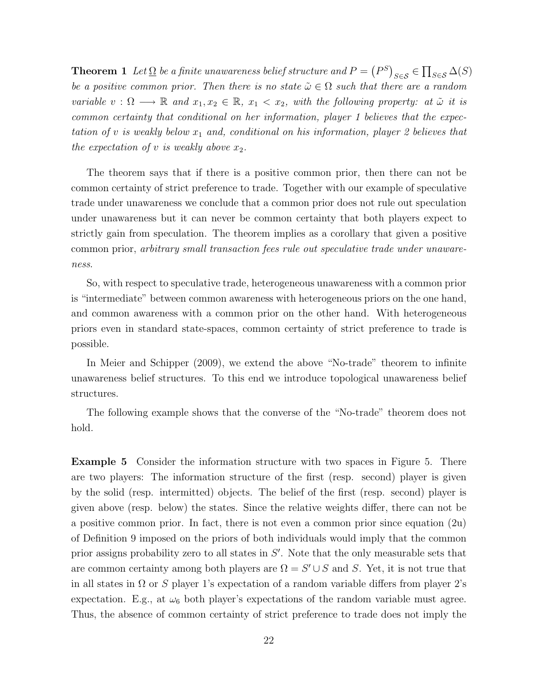**Theorem 1** Let  $\Omega$  be a finite unawareness belief structure and  $P = (P^S)_{S \in \mathcal{S}} \in \prod_{S \in \mathcal{S}} \Delta(S)$ be a positive common prior. Then there is no state  $\tilde{\omega} \in \Omega$  such that there are a random variable  $v : \Omega \longrightarrow \mathbb{R}$  and  $x_1, x_2 \in \mathbb{R}$ ,  $x_1 < x_2$ , with the following property: at  $\tilde{\omega}$  it is common certainty that conditional on her information, player 1 believes that the expectation of v is weakly below  $x_1$  and, conditional on his information, player 2 believes that the expectation of v is weakly above  $x_2$ .

The theorem says that if there is a positive common prior, then there can not be common certainty of strict preference to trade. Together with our example of speculative trade under unawareness we conclude that a common prior does not rule out speculation under unawareness but it can never be common certainty that both players expect to strictly gain from speculation. The theorem implies as a corollary that given a positive common prior, arbitrary small transaction fees rule out speculative trade under unawareness.

So, with respect to speculative trade, heterogeneous unawareness with a common prior is "intermediate" between common awareness with heterogeneous priors on the one hand, and common awareness with a common prior on the other hand. With heterogeneous priors even in standard state-spaces, common certainty of strict preference to trade is possible.

In Meier and Schipper (2009), we extend the above "No-trade" theorem to infinite unawareness belief structures. To this end we introduce topological unawareness belief structures.

The following example shows that the converse of the "No-trade" theorem does not hold.

Example 5 Consider the information structure with two spaces in Figure 5. There are two players: The information structure of the first (resp. second) player is given by the solid (resp. intermitted) objects. The belief of the first (resp. second) player is given above (resp. below) the states. Since the relative weights differ, there can not be a positive common prior. In fact, there is not even a common prior since equation (2u) of Definition 9 imposed on the priors of both individuals would imply that the common prior assigns probability zero to all states in  $S'$ . Note that the only measurable sets that are common certainty among both players are  $\Omega = S' \cup S$  and S. Yet, it is not true that in all states in  $\Omega$  or S player 1's expectation of a random variable differs from player 2's expectation. E.g., at  $\omega_6$  both player's expectations of the random variable must agree. Thus, the absence of common certainty of strict preference to trade does not imply the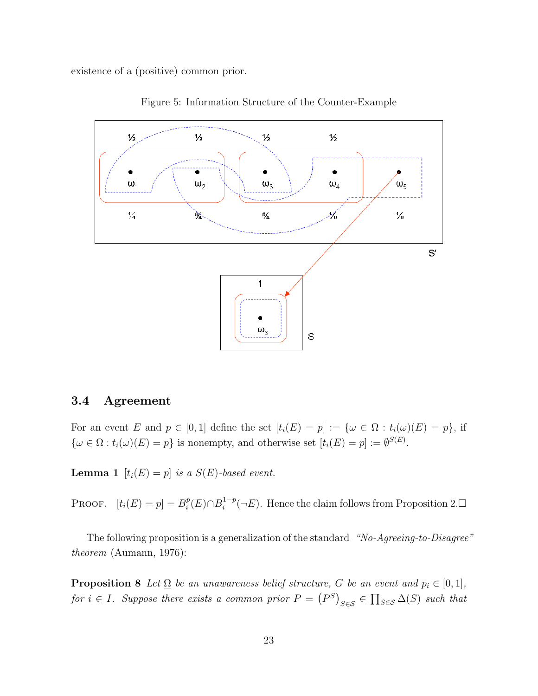existence of a (positive) common prior.



Figure 5: Information Structure of the Counter-Example

#### 3.4 Agreement

For an event E and  $p \in [0,1]$  define the set  $[t_i(E) = p] := {\omega \in \Omega : t_i(\omega)(E) = p}$ , if  $\{\omega \in \Omega : t_i(\omega)(E) = p\}$  is nonempty, and otherwise set  $[t_i(E) = p] := \emptyset^{S(E)}$ .

**Lemma 1**  $[t_i(E) = p]$  is a  $S(E)$ -based event.

PROOF.  $[t_i(E) = p] = B_i^p$  $i^p(E) \cap B_i^{1-p}$  $i^{1-p}(\neg E)$ . Hence the claim follows from Proposition 2. $\Box$ 

The following proposition is a generalization of the standard "No-Agreeing-to-Disagree" theorem (Aumann, 1976):

**Proposition 8** Let  $\Omega$  be an unawareness belief structure, G be an event and  $p_i \in [0,1]$ , for  $i \in I$ . Suppose there exists a common prior  $P = (P^S)_{S \in \mathcal{S}} \in \prod_{S \in \mathcal{S}} \Delta(S)$  such that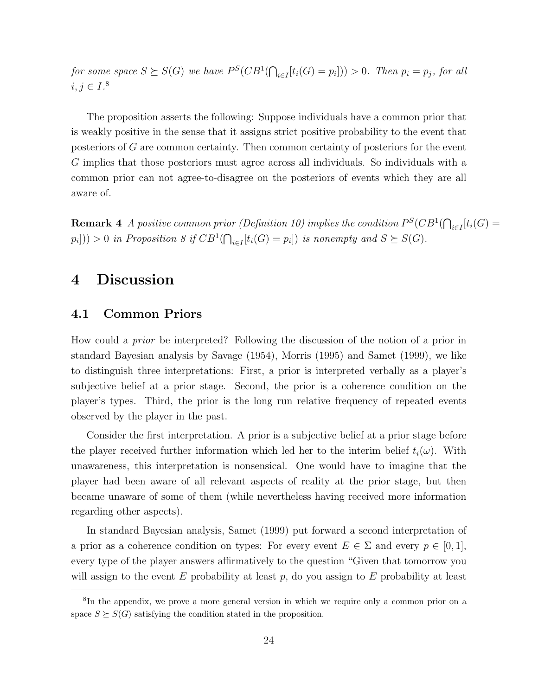for some space  $S \succeq S(G)$  we have  $P^S(CB^1(\bigcap_{i \in I} [t_i(G) = p_i])) > 0$ . Then  $p_i = p_j$ , for all  $i, j \in I$ .<sup>8</sup>

The proposition asserts the following: Suppose individuals have a common prior that is weakly positive in the sense that it assigns strict positive probability to the event that posteriors of G are common certainty. Then common certainty of posteriors for the event G implies that those posteriors must agree across all individuals. So individuals with a common prior can not agree-to-disagree on the posteriors of events which they are all aware of.

**Remark 4** A positive common prior (Definition 10) implies the condition  $P^S(CB^1(\bigcap_{i\in I} [t_i(G) =$  $p_i|) > 0$  in Proposition 8 if  $CB^1(\bigcap_{i \in I} [t_i(G) = p_i])$  is nonempty and  $S \succeq S(G)$ .

# 4 Discussion

# 4.1 Common Priors

How could a prior be interpreted? Following the discussion of the notion of a prior in standard Bayesian analysis by Savage (1954), Morris (1995) and Samet (1999), we like to distinguish three interpretations: First, a prior is interpreted verbally as a player's subjective belief at a prior stage. Second, the prior is a coherence condition on the player's types. Third, the prior is the long run relative frequency of repeated events observed by the player in the past.

Consider the first interpretation. A prior is a subjective belief at a prior stage before the player received further information which led her to the interim belief  $t_i(\omega)$ . With unawareness, this interpretation is nonsensical. One would have to imagine that the player had been aware of all relevant aspects of reality at the prior stage, but then became unaware of some of them (while nevertheless having received more information regarding other aspects).

In standard Bayesian analysis, Samet (1999) put forward a second interpretation of a prior as a coherence condition on types: For every event  $E \in \Sigma$  and every  $p \in [0,1]$ , every type of the player answers affirmatively to the question "Given that tomorrow you will assign to the event E probability at least p, do you assign to E probability at least

<sup>&</sup>lt;sup>8</sup>In the appendix, we prove a more general version in which we require only a common prior on a space  $S \succeq S(G)$  satisfying the condition stated in the proposition.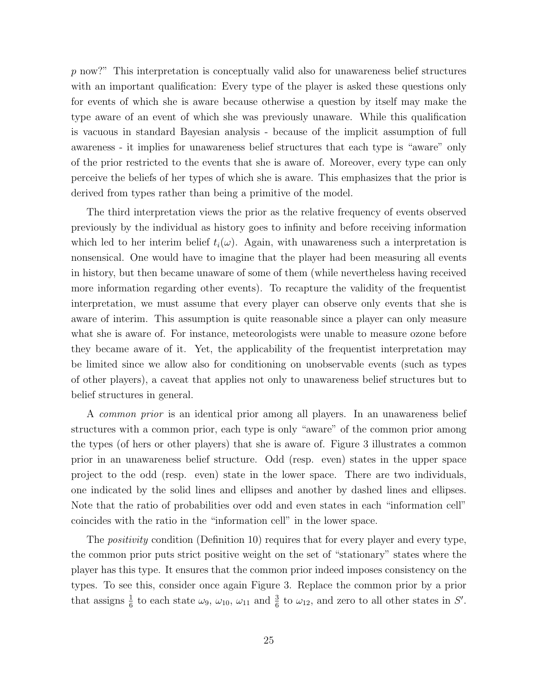p now?" This interpretation is conceptually valid also for unawareness belief structures with an important qualification: Every type of the player is asked these questions only for events of which she is aware because otherwise a question by itself may make the type aware of an event of which she was previously unaware. While this qualification is vacuous in standard Bayesian analysis - because of the implicit assumption of full awareness - it implies for unawareness belief structures that each type is "aware" only of the prior restricted to the events that she is aware of. Moreover, every type can only perceive the beliefs of her types of which she is aware. This emphasizes that the prior is derived from types rather than being a primitive of the model.

The third interpretation views the prior as the relative frequency of events observed previously by the individual as history goes to infinity and before receiving information which led to her interim belief  $t_i(\omega)$ . Again, with unawareness such a interpretation is nonsensical. One would have to imagine that the player had been measuring all events in history, but then became unaware of some of them (while nevertheless having received more information regarding other events). To recapture the validity of the frequentist interpretation, we must assume that every player can observe only events that she is aware of interim. This assumption is quite reasonable since a player can only measure what she is aware of. For instance, meteorologists were unable to measure ozone before they became aware of it. Yet, the applicability of the frequentist interpretation may be limited since we allow also for conditioning on unobservable events (such as types of other players), a caveat that applies not only to unawareness belief structures but to belief structures in general.

A common prior is an identical prior among all players. In an unawareness belief structures with a common prior, each type is only "aware" of the common prior among the types (of hers or other players) that she is aware of. Figure 3 illustrates a common prior in an unawareness belief structure. Odd (resp. even) states in the upper space project to the odd (resp. even) state in the lower space. There are two individuals, one indicated by the solid lines and ellipses and another by dashed lines and ellipses. Note that the ratio of probabilities over odd and even states in each "information cell" coincides with the ratio in the "information cell" in the lower space.

The *positivity* condition (Definition 10) requires that for every player and every type, the common prior puts strict positive weight on the set of "stationary" states where the player has this type. It ensures that the common prior indeed imposes consistency on the types. To see this, consider once again Figure 3. Replace the common prior by a prior that assigns  $\frac{1}{6}$  to each state  $\omega_9$ ,  $\omega_{10}$ ,  $\omega_{11}$  and  $\frac{3}{6}$  to  $\omega_{12}$ , and zero to all other states in S'.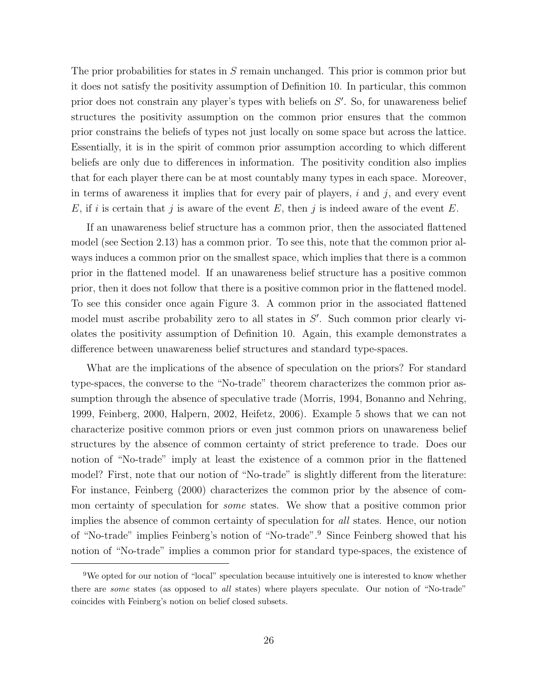The prior probabilities for states in S remain unchanged. This prior is common prior but it does not satisfy the positivity assumption of Definition 10. In particular, this common prior does not constrain any player's types with beliefs on  $S'$ . So, for unawareness belief structures the positivity assumption on the common prior ensures that the common prior constrains the beliefs of types not just locally on some space but across the lattice. Essentially, it is in the spirit of common prior assumption according to which different beliefs are only due to differences in information. The positivity condition also implies that for each player there can be at most countably many types in each space. Moreover, in terms of awareness it implies that for every pair of players,  $i$  and  $j$ , and every event E, if i is certain that j is aware of the event E, then j is indeed aware of the event E.

If an unawareness belief structure has a common prior, then the associated flattened model (see Section 2.13) has a common prior. To see this, note that the common prior always induces a common prior on the smallest space, which implies that there is a common prior in the flattened model. If an unawareness belief structure has a positive common prior, then it does not follow that there is a positive common prior in the flattened model. To see this consider once again Figure 3. A common prior in the associated flattened model must ascribe probability zero to all states in  $S'$ . Such common prior clearly violates the positivity assumption of Definition 10. Again, this example demonstrates a difference between unawareness belief structures and standard type-spaces.

What are the implications of the absence of speculation on the priors? For standard type-spaces, the converse to the "No-trade" theorem characterizes the common prior assumption through the absence of speculative trade (Morris, 1994, Bonanno and Nehring, 1999, Feinberg, 2000, Halpern, 2002, Heifetz, 2006). Example 5 shows that we can not characterize positive common priors or even just common priors on unawareness belief structures by the absence of common certainty of strict preference to trade. Does our notion of "No-trade" imply at least the existence of a common prior in the flattened model? First, note that our notion of "No-trade" is slightly different from the literature: For instance, Feinberg (2000) characterizes the common prior by the absence of common certainty of speculation for some states. We show that a positive common prior implies the absence of common certainty of speculation for all states. Hence, our notion of "No-trade" implies Feinberg's notion of "No-trade".<sup>9</sup> Since Feinberg showed that his notion of "No-trade" implies a common prior for standard type-spaces, the existence of

<sup>&</sup>lt;sup>9</sup>We opted for our notion of "local" speculation because intuitively one is interested to know whether there are *some* states (as opposed to *all* states) where players speculate. Our notion of "No-trade" coincides with Feinberg's notion on belief closed subsets.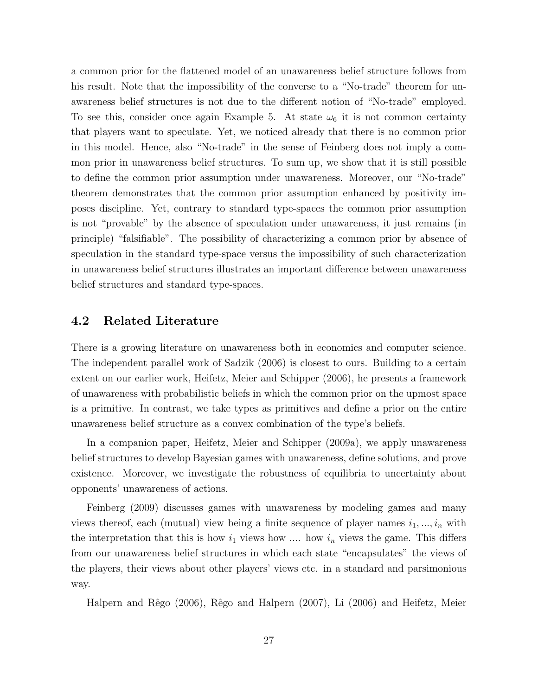a common prior for the flattened model of an unawareness belief structure follows from his result. Note that the impossibility of the converse to a "No-trade" theorem for unawareness belief structures is not due to the different notion of "No-trade" employed. To see this, consider once again Example 5. At state  $\omega_6$  it is not common certainty that players want to speculate. Yet, we noticed already that there is no common prior in this model. Hence, also "No-trade" in the sense of Feinberg does not imply a common prior in unawareness belief structures. To sum up, we show that it is still possible to define the common prior assumption under unawareness. Moreover, our "No-trade" theorem demonstrates that the common prior assumption enhanced by positivity imposes discipline. Yet, contrary to standard type-spaces the common prior assumption is not "provable" by the absence of speculation under unawareness, it just remains (in principle) "falsifiable". The possibility of characterizing a common prior by absence of speculation in the standard type-space versus the impossibility of such characterization in unawareness belief structures illustrates an important difference between unawareness belief structures and standard type-spaces.

# 4.2 Related Literature

There is a growing literature on unawareness both in economics and computer science. The independent parallel work of Sadzik (2006) is closest to ours. Building to a certain extent on our earlier work, Heifetz, Meier and Schipper (2006), he presents a framework of unawareness with probabilistic beliefs in which the common prior on the upmost space is a primitive. In contrast, we take types as primitives and define a prior on the entire unawareness belief structure as a convex combination of the type's beliefs.

In a companion paper, Heifetz, Meier and Schipper (2009a), we apply unawareness belief structures to develop Bayesian games with unawareness, define solutions, and prove existence. Moreover, we investigate the robustness of equilibria to uncertainty about opponents' unawareness of actions.

Feinberg (2009) discusses games with unawareness by modeling games and many views thereof, each (mutual) view being a finite sequence of player names  $i_1, ..., i_n$  with the interpretation that this is how  $i_1$  views how .... how  $i_n$  views the game. This differs from our unawareness belief structures in which each state "encapsulates" the views of the players, their views about other players' views etc. in a standard and parsimonious way.

Halpern and Rêgo (2006), Rêgo and Halpern (2007), Li (2006) and Heifetz, Meier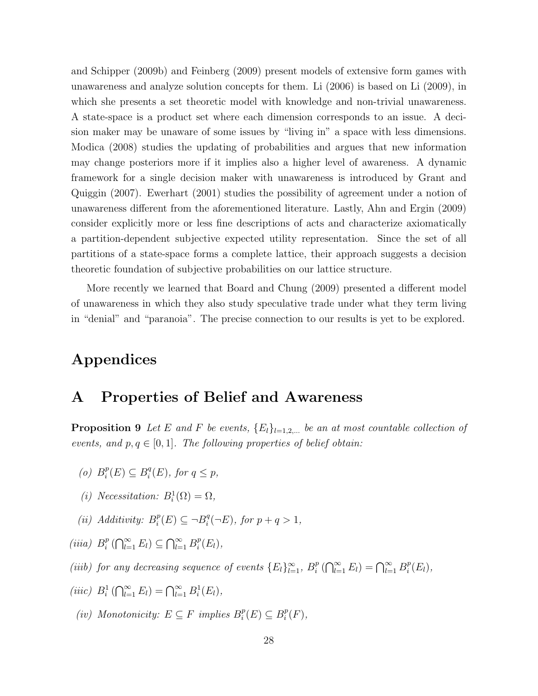and Schipper (2009b) and Feinberg (2009) present models of extensive form games with unawareness and analyze solution concepts for them. Li (2006) is based on Li (2009), in which she presents a set theoretic model with knowledge and non-trivial unawareness. A state-space is a product set where each dimension corresponds to an issue. A decision maker may be unaware of some issues by "living in" a space with less dimensions. Modica (2008) studies the updating of probabilities and argues that new information may change posteriors more if it implies also a higher level of awareness. A dynamic framework for a single decision maker with unawareness is introduced by Grant and Quiggin (2007). Ewerhart (2001) studies the possibility of agreement under a notion of unawareness different from the aforementioned literature. Lastly, Ahn and Ergin (2009) consider explicitly more or less fine descriptions of acts and characterize axiomatically a partition-dependent subjective expected utility representation. Since the set of all partitions of a state-space forms a complete lattice, their approach suggests a decision theoretic foundation of subjective probabilities on our lattice structure.

More recently we learned that Board and Chung (2009) presented a different model of unawareness in which they also study speculative trade under what they term living in "denial" and "paranoia". The precise connection to our results is yet to be explored.

# Appendices

# A Properties of Belief and Awareness

**Proposition 9** Let E and F be events,  ${E_l}_{l=1,2,...}$  be an at most countable collection of events, and  $p, q \in [0, 1]$ . The following properties of belief obtain:

- (o)  $B_i^p$  $i^p(E) \subseteq B_i^q$  $_i^q(E)$ , for  $q \leq p$ ,
- (i) Necessitation:  $B_i^1(\Omega) = \Omega$ ,
- (*ii*) Additivity:  $B_i^p$  $_i^p(E) \subseteq \neg B_i^q$  $i^q(-E)$ , for  $p+q>1$ ,
- $(iii)$   $B_i^p$  $\bigcap_{i=1}^p E_i \bigcap_{l=1}^\infty E_l$  $_i^p(E_l)$ ,

(iiib) for any decreasing sequence of events  ${E_l}_{l=1}^{\infty}, B_i^p$  $\int_i^p \left( \bigcap_{l=1}^\infty E_l \right) = \bigcap_{l=1}^\infty B_i^p$  $_i^p(E_l)$ ,

- (iiic)  $B_i^1(\bigcap_{l=1}^{\infty} E_l) = \bigcap_{l=1}^{\infty} B_i^1(E_l),$ 
	- (iv) Monotonicity:  $E \subseteq F$  implies  $B_i^p$  $i^p(E) \subseteq B_i^p$  $_i^p(F),$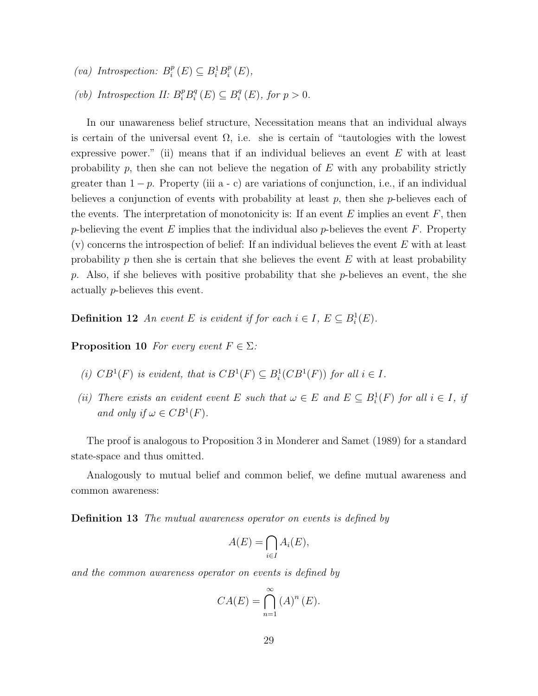(va) Introspection:  $B_i^p$  $_i^p(E) \subseteq B_i^1 B_i^p$  $_{i}^{p}\left( E\right) ,$ 

(vb) Introspection II:  $B_i^p B_i^q$  $_i^q(E) \subseteq B_i^q$  $_{i}^{q}(E)$ , for  $p > 0$ .

In our unawareness belief structure, Necessitation means that an individual always is certain of the universal event  $\Omega$ , i.e. she is certain of "tautologies with the lowest expressive power." (ii) means that if an individual believes an event  $E$  with at least probability  $p$ , then she can not believe the negation of  $E$  with any probability strictly greater than  $1 - p$ . Property (iii a - c) are variations of conjunction, i.e., if an individual believes a conjunction of events with probability at least  $p$ , then she  $p$ -believes each of the events. The interpretation of monotonicity is: If an event  $E$  implies an event  $F$ , then p-believing the event E implies that the individual also p-believes the event  $F$ . Property  $(v)$  concerns the introspection of belief: If an individual believes the event E with at least probability p then she is certain that she believes the event  $E$  with at least probability p. Also, if she believes with positive probability that she p-believes an event, the she actually p-believes this event.

**Definition 12** An event E is evident if for each  $i \in I$ ,  $E \subseteq B_i^1(E)$ .

**Proposition 10** For every event  $F \in \Sigma$ :

- (i)  $CB^1(F)$  is evident, that is  $CB^1(F) \subseteq B^1_i(CB^1(F))$  for all  $i \in I$ .
- (ii) There exists an evident event E such that  $\omega \in E$  and  $E \subseteq B_i^1(F)$  for all  $i \in I$ , if and only if  $\omega \in CB^1(F)$ .

The proof is analogous to Proposition 3 in Monderer and Samet (1989) for a standard state-space and thus omitted.

Analogously to mutual belief and common belief, we define mutual awareness and common awareness:

Definition 13 The mutual awareness operator on events is defined by

$$
A(E) = \bigcap_{i \in I} A_i(E),
$$

and the common awareness operator on events is defined by

$$
CA(E) = \bigcap_{n=1}^{\infty} (A)^n (E).
$$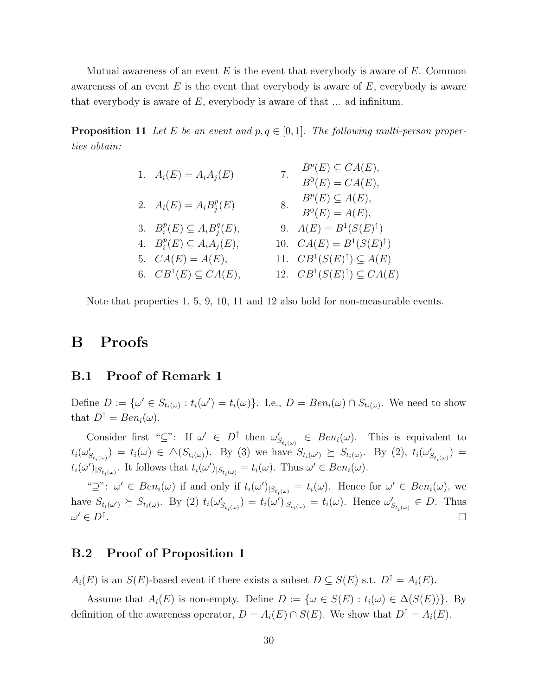Mutual awareness of an event  $E$  is the event that everybody is aware of  $E$ . Common awareness of an event  $E$  is the event that everybody is aware of  $E$ , everybody is aware that everybody is aware of  $E$ , everybody is aware of that  $\ldots$  ad infinitum.

**Proposition 11** Let E be an event and  $p, q \in [0, 1]$ . The following multi-person properties obtain:

| 1. $A_i(E) = A_i A_j(E)$               | $B^p(E) \subseteq CA(E),$<br>$B^0(E) = CA(E),$      |
|----------------------------------------|-----------------------------------------------------|
|                                        |                                                     |
| 2. $A_i(E) = A_i B_j^p(E)$             | 8. $B^{p}(E) \subseteq A(E),$<br>$B^{0}(E) = A(E),$ |
| 3. $B_i^p(E) \subseteq A_i B_i^q(E)$ , | 9. $A(E) = B^1(S(E)^{\uparrow})$                    |
| 4. $B_i^p(E) \subseteq A_i A_j(E)$ ,   | 10. $CA(E) = B^1(S(E)^{\uparrow})$                  |
| 5. $CA(E) = A(E)$ ,                    | 11. $CB^1(S(E)^{\uparrow}) \subseteq A(E)$          |
| 6. $CB^1(E) \subseteq CA(E)$ ,         | 12. $CB^1(S(E)^{\uparrow}) \subseteq CA(E)$         |

Note that properties 1, 5, 9, 10, 11 and 12 also hold for non-measurable events.

# B Proofs

# B.1 Proof of Remark 1

Define  $D := \{ \omega' \in S_{t_i(\omega)} : t_i(\omega') = t_i(\omega) \}$ . I.e.,  $D = Ben_i(\omega) \cap S_{t_i(\omega)}$ . We need to show that  $D^{\uparrow} = Ben_i(\omega)$ .

Consider first " $\subseteq$ ": If  $\omega' \in D^{\uparrow}$  then  $\omega'_{S_{t_i(\omega)}} \in Ben_i(\omega)$ . This is equivalent to  $t_i(\omega'_{S_{t_i(\omega)}}) = t_i(\omega) \in \Delta(S_{t_i(\omega)})$ . By (3) we have  $S_{t_i(\omega')}\succeq S_{t_i(\omega)}$ . By (2),  $t_i(\omega'_{S_{t_i(\omega)}})$  =  $t_i(\omega')_{|S_{t_i(\omega)}}$ . It follows that  $t_i(\omega')_{|S_{t_i(\omega)}} = t_i(\omega)$ . Thus  $\omega' \in Ben_i(\omega)$ .

" $\supseteq$ ":  $\omega' \in \text{Ben}_i(\omega)$  if and only if  $t_i(\omega')|_{S_{t_i(\omega)}} = t_i(\omega)$ . Hence for  $\omega' \in \text{Ben}_i(\omega)$ , we have  $S_{t_i(\omega')}\succeq S_{t_i(\omega)}$ . By (2)  $t_i(\omega'_{S_{t_i(\omega)}})=t_i(\omega')_{|S_{t_i(\omega)}}=t_i(\omega)$ . Hence  $\omega'_{S_{t_i(\omega)}}\in D$ . Thus  $\omega' \in D^{\uparrow}$ . The contract of the contract of the contract of the contract of the contract of  $\Box$ 

# B.2 Proof of Proposition 1

 $A_i(E)$  is an  $S(E)$ -based event if there exists a subset  $D \subseteq S(E)$  s.t.  $D^{\uparrow} = A_i(E)$ .

Assume that  $A_i(E)$  is non-empty. Define  $D := \{ \omega \in S(E) : t_i(\omega) \in \Delta(S(E)) \}$ . By definition of the awareness operator,  $D = A_i(E) \cap S(E)$ . We show that  $D^{\uparrow} = A_i(E)$ .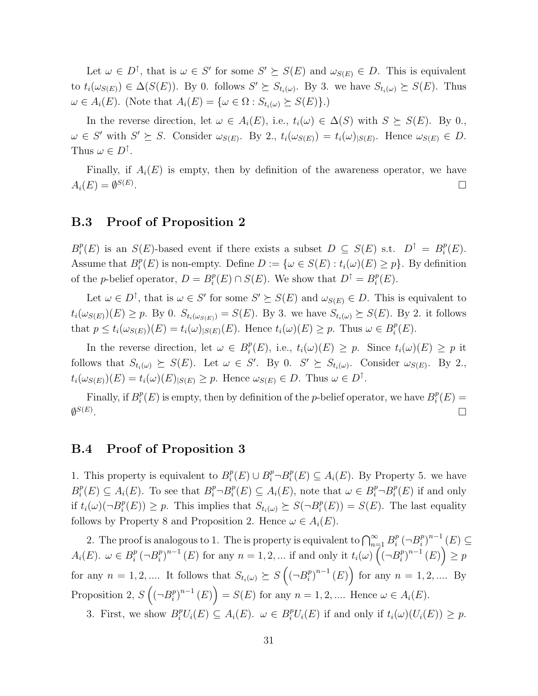Let  $\omega \in D^{\uparrow}$ , that is  $\omega \in S'$  for some  $S' \succeq S(E)$  and  $\omega_{S(E)} \in D$ . This is equivalent to  $t_i(\omega_{S(E)}) \in \Delta(S(E))$ . By 0. follows  $S' \succeq S_{t_i(\omega)}$ . By 3. we have  $S_{t_i(\omega)} \succeq S(E)$ . Thus  $\omega \in A_i(E)$ . (Note that  $A_i(E) = {\omega \in \Omega : S_{t_i(\omega)} \succeq S(E)}$ .)

In the reverse direction, let  $\omega \in A_i(E)$ , i.e.,  $t_i(\omega) \in \Delta(S)$  with  $S \succeq S(E)$ . By 0.,  $\omega \in S'$  with  $S' \succeq S$ . Consider  $\omega_{S(E)}$ . By 2.,  $t_i(\omega_{S(E)}) = t_i(\omega)_{|S(E)}$ . Hence  $\omega_{S(E)} \in D$ . Thus  $\omega \in D^{\uparrow}$ .

Finally, if  $A_i(E)$  is empty, then by definition of the awareness operator, we have  $A_i(E) = \emptyset^{S(E)}$ .

# B.3 Proof of Proposition 2

 $B_i^p$  $i(E)$  is an  $S(E)$ -based event if there exists a subset  $D \subseteq S(E)$  s.t.  $D^{\uparrow} = B_i^p$  $_i^p(E).$ Assume that  $B_i^p$  $i(E)$  is non-empty. Define  $D := \{ \omega \in S(E) : t_i(\omega)(E) \geq p \}$ . By definition of the *p*-belief operator,  $D = B_i^p$  $i^p(E) \cap S(E)$ . We show that  $D^{\uparrow} = B_i^p$  $_i^p(E).$ 

Let  $\omega \in D^{\uparrow}$ , that is  $\omega \in S'$  for some  $S' \succeq S(E)$  and  $\omega_{S(E)} \in D$ . This is equivalent to  $t_i(\omega_{S(E)})(E) \geq p$ . By 0.  $S_{t_i(\omega_{S(E)})} = S(E)$ . By 3. we have  $S_{t_i(\omega)} \succeq S(E)$ . By 2. it follows that  $p \le t_i(\omega_{S(E)})(E) = t_i(\omega)_{|S(E)}(E)$ . Hence  $t_i(\omega)(E) \ge p$ . Thus  $\omega \in B_i^p$  $_i^p(E).$ 

In the reverse direction, let  $\omega \in B_i^p$  $i^p(E)$ , i.e.,  $t_i(\omega)(E) \geq p$ . Since  $t_i(\omega)(E) \geq p$  it follows that  $S_{t_i(\omega)} \succeq S(E)$ . Let  $\omega \in S'$ . By 0.  $S' \succeq S_{t_i(\omega)}$ . Consider  $\omega_{S(E)}$ . By 2.,  $t_i(\omega_{S(E)})(E) = t_i(\omega)(E)_{|S(E)} \geq p$ . Hence  $\omega_{S(E)} \in D$ . Thus  $\omega \in D^{\uparrow}$ .

Finally, if  $B_i^p$  $i^p(E)$  is empty, then by definition of the *p*-belief operator, we have  $B_i^p$  $_i^p(E) =$  $\emptyset^{S(E)}$ .

# B.4 Proof of Proposition 3

1. This property is equivalent to  $B_i^p$  $i^p(E) \cup B_i^p \neg B_i^p$  $i^p(E) \subseteq A_i(E)$ . By Property 5. we have  $B_i^p$  $i^p_i(E) \subseteq A_i(E)$ . To see that  $B_i^p \neg B_i^p$  $i^p_i(E) \subseteq A_i(E)$ , note that  $\omega \in B_i^p \neg B_i^p$  $i^p(E)$  if and only if  $t_i(\omega)$  ( $\neg B_i^p$  $i^p(E)$ )  $\geq p$ . This implies that  $S_{t_i(\omega)} \succeq S(\neg B_i^p)$  $i<sup>p</sup>(E)$  =  $S(E)$ . The last equality follows by Property 8 and Proposition 2. Hence  $\omega \in A_i(E)$ .

2. The proof is analogous to 1. The is property is equivalent to  $\bigcap_{n=1}^{\infty} B_i^p$  $i^p(-B_i^p)$  $\binom{p}{i}^{n-1}(E) \subseteq$  $A_i(E)$ .  $\omega \in B_i^p$  $i^p(-B_i^p)$  $\int_{i}^{p}$ <sup>n-1</sup> (*E*) for any  $n = 1, 2, ...$  if and only it  $t_i(\omega)$  ( $(\neg B_i^p)$ )  $\binom{p}{i}^{n-1}(E)\right)\geq p$ for any  $n = 1, 2, ...$  It follows that  $S_{t_i(\omega)} \succeq S\left( (-B_i^p)\right)$  $\binom{p}{i}^{n-1}(E)$  for any  $n = 1, 2, ...$  By Proposition 2,  $S\left(\left(\neg B_i^p\right)\right)$  $\binom{p}{i}^{n-1}(E)$  =  $S(E)$  for any  $n = 1, 2, ...$  Hence  $\omega \in A_i(E)$ .

3. First, we show  $B_i^pU_i(E) \subseteq A_i(E)$ .  $\omega \in B_i^pU_i(E)$  if and only if  $t_i(\omega)(U_i(E)) \geq p$ .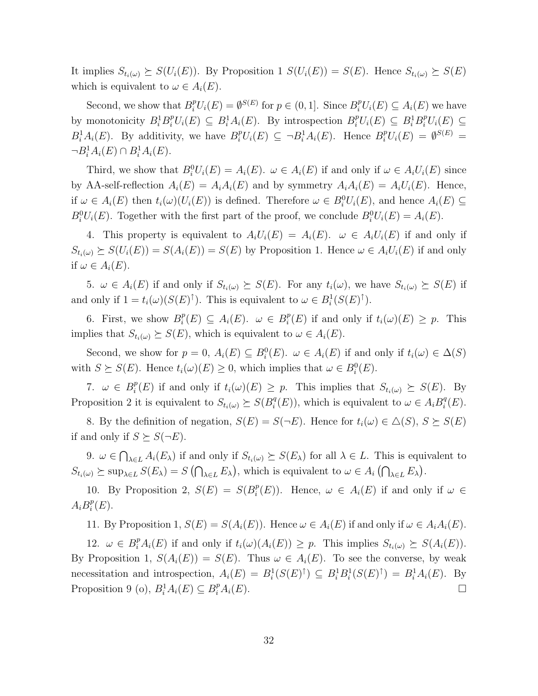It implies  $S_{t_i(\omega)} \succeq S(U_i(E))$ . By Proposition 1  $S(U_i(E)) = S(E)$ . Hence  $S_{t_i(\omega)} \succeq S(E)$ which is equivalent to  $\omega \in A_i(E)$ .

Second, we show that  $B_i^p U_i(E) = \emptyset^{S(E)}$  for  $p \in (0, 1]$ . Since  $B_i^p U_i(E) \subseteq A_i(E)$  we have by monotonicity  $B_i^1 B_i^p U_i(E) \subseteq B_i^1 A_i(E)$ . By introspection  $B_i^p U_i(E) \subseteq B_i^1 B_i^p U_i(E) \subseteq$  $B_i^1A_i(E)$ . By additivity, we have  $B_i^pU_i(E) \subseteq \neg B_i^1A_i(E)$ . Hence  $B_i^pU_i(E) = \emptyset^{S(E)}$  $\neg B_i^1 A_i(E) \cap B_i^1 A_i(E).$ 

Third, we show that  $B_i^0U_i(E) = A_i(E)$ .  $\omega \in A_i(E)$  if and only if  $\omega \in A_iU_i(E)$  since by AA-self-reflection  $A_i(E) = A_i A_i(E)$  and by symmetry  $A_i A_i(E) = A_i U_i(E)$ . Hence, if  $\omega \in A_i(E)$  then  $t_i(\omega)(U_i(E))$  is defined. Therefore  $\omega \in B_i^0U_i(E)$ , and hence  $A_i(E) \subseteq$  $B_i^0 U_i(E)$ . Together with the first part of the proof, we conclude  $B_i^0 U_i(E) = A_i(E)$ .

4. This property is equivalent to  $A_iU_i(E) = A_i(E)$ .  $\omega \in A_iU_i(E)$  if and only if  $S_{t_i(\omega)} \succeq S(U_i(E)) = S(A_i(E)) = S(E)$  by Proposition 1. Hence  $\omega \in A_iU_i(E)$  if and only if  $\omega \in A_i(E)$ .

5.  $\omega \in A_i(E)$  if and only if  $S_{t_i(\omega)} \succeq S(E)$ . For any  $t_i(\omega)$ , we have  $S_{t_i(\omega)} \succeq S(E)$  if and only if  $1 = t_i(\omega)(S(E)^{\uparrow})$ . This is equivalent to  $\omega \in B_i^1(S(E)^{\uparrow})$ .

6. First, we show  $B_i^p$  $i^p(E) \subseteq A_i(E)$ .  $\omega \in B_i^p$  $i^p(E)$  if and only if  $t_i(\omega)(E) \geq p$ . This implies that  $S_{t_i(\omega)} \succeq S(E)$ , which is equivalent to  $\omega \in A_i(E)$ .

Second, we show for  $p = 0$ ,  $A_i(E) \subseteq B_i^0(E)$ .  $\omega \in A_i(E)$  if and only if  $t_i(\omega) \in \Delta(S)$ with  $S \succeq S(E)$ . Hence  $t_i(\omega)(E) \geq 0$ , which implies that  $\omega \in B_i^0(E)$ .

7.  $\omega \in B_i^p$  $i(E)$  if and only if  $t_i(\omega)(E) \geq p$ . This implies that  $S_{t_i(\omega)} \succeq S(E)$ . By Proposition 2 it is equivalent to  $S_{t_i(\omega)} \succeq S(B_i^q)$  $i<sup>q</sup>(E)$ , which is equivalent to  $\omega \in A_i B_i^q$  $_i^q(E).$ 

8. By the definition of negation,  $S(E) = S(\neg E)$ . Hence for  $t_i(\omega) \in \Delta(S)$ ,  $S \succeq S(E)$ if and only if  $S \succeq S(\neg E)$ .

9.  $\omega \in \bigcap_{\lambda \in L} A_i(E_\lambda)$  if and only if  $S_{t_i(\omega)} \succeq S(E_\lambda)$  for all  $\lambda \in L$ . This is equivalent to  $S_{t_i(\omega)} \succeq \sup_{\lambda \in L} S(E_{\lambda}) = S(\bigcap_{\lambda \in L} E_{\lambda}),$  which is equivalent to  $\omega \in A_i(\bigcap_{\lambda \in L} E_{\lambda}).$ 

10. By Proposition 2,  $S(E) = S(B_i^p)$  $i(E)$ ). Hence,  $\omega \in A_i(E)$  if and only if  $\omega \in E$  $A_i B_i^p$  $_i^p(E).$ 

11. By Proposition 1,  $S(E) = S(A_i(E))$ . Hence  $\omega \in A_i(E)$  if and only if  $\omega \in A_iA_i(E)$ .

12.  $\omega \in B_i^pA_i(E)$  if and only if  $t_i(\omega)(A_i(E)) \geq p$ . This implies  $S_{t_i(\omega)} \succeq S(A_i(E))$ . By Proposition 1,  $S(A_i(E)) = S(E)$ . Thus  $\omega \in A_i(E)$ . To see the converse, by weak necessitation and introspection,  $A_i(E) = B_i^1(S(E)^{\uparrow}) \subseteq B_i^1B_i^1(S(E)^{\uparrow}) = B_i^1A_i(E)$ . By Proposition 9 (o),  $B_i^1 A_i(E) \subseteq B_i^p A_i(E)$ .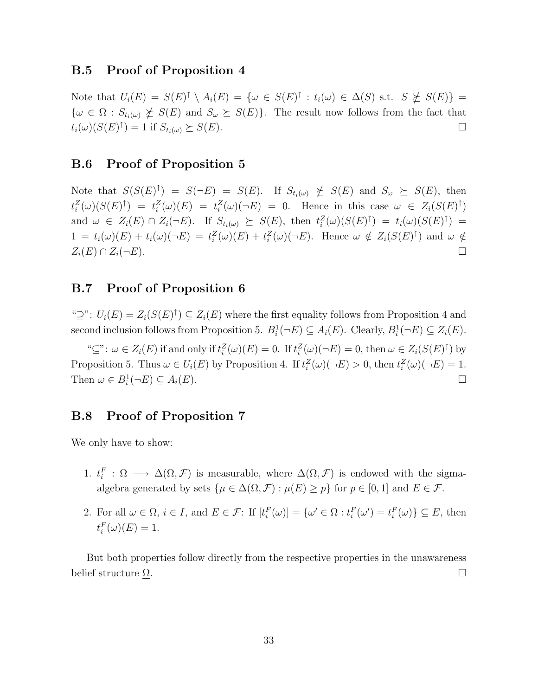## B.5 Proof of Proposition 4

Note that  $U_i(E) = S(E)^\dagger \setminus A_i(E) = \{ \omega \in S(E)^\dagger : t_i(\omega) \in \Delta(S) \text{ s.t. } S \not\leq S(E) \}$  ${\omega \in \Omega : S_{t_i(\omega)} \not\geq S(E) \text{ and } S_{\omega} \succeq S(E)}$ . The result now follows from the fact that  $t_i(\omega)(S(E)^{\uparrow}) = 1$  if  $S_{t_i(\omega)} \succeq S(E)$ .

# B.6 Proof of Proposition 5

Note that  $S(S(E)^{\uparrow}) = S(\neg E) = S(E)$ . If  $S_{t_i(\omega)} \not\geq S(E)$  and  $S_{\omega} \geq S(E)$ , then  $t_i^Z(\omega)(S(E)^{\uparrow}) = t_i^Z(\omega)(E) = t_i^Z(\omega)(\neg E) = 0.$  Hence in this case  $\omega \in Z_i(S(E)^{\uparrow})$ and  $\omega \in Z_i(E) \cap Z_i(\neg E)$ . If  $S_{t_i(\omega)} \succeq S(E)$ , then  $t_i^Z(\omega)(S(E)^{\uparrow}) = t_i(\omega)(S(E)^{\uparrow}) =$  $1 = t_i(\omega)(E) + t_i(\omega)(\neg E) = t_i^Z(\omega)(E) + t_i^Z(\omega)(\neg E)$ . Hence  $\omega \notin Z_i(S(E)^{\uparrow})$  and  $\omega \notin$  $Z_i(E) \cap Z_i(\neg E).$ 

# B.7 Proof of Proposition 6

" $\supseteq$ ":  $U_i(E) = Z_i(S(E)^{\uparrow}) \subseteq Z_i(E)$  where the first equality follows from Proposition 4 and second inclusion follows from Proposition 5.  $B_i^1(\neg E) \subseteq A_i(E)$ . Clearly,  $B_i^1(\neg E) \subseteq Z_i(E)$ .

" $\subseteq$ ":  $\omega \in Z_i(E)$  if and only if  $t_i^Z(\omega)(E) = 0$ . If  $t_i^Z(\omega)(\neg E) = 0$ , then  $\omega \in Z_i(S(E)^{\uparrow})$  by Proposition 5. Thus  $\omega \in U_i(E)$  by Proposition 4. If  $t_i^Z(\omega)(\neg E) > 0$ , then  $t_i^Z(\omega)(\neg E) = 1$ . Then  $\omega \in B_i^1(\neg E) \subseteq A_i(E)$ .

# B.8 Proof of Proposition 7

We only have to show:

- 1.  $t_i^F: \Omega \longrightarrow \Delta(\Omega, \mathcal{F})$  is measurable, where  $\Delta(\Omega, \mathcal{F})$  is endowed with the sigmaalgebra generated by sets  $\{\mu \in \Delta(\Omega, \mathcal{F}) : \mu(E) \geq p\}$  for  $p \in [0, 1]$  and  $E \in \mathcal{F}$ .
- 2. For all  $\omega \in \Omega$ ,  $i \in I$ , and  $E \in \mathcal{F}$ : If  $[t_i^F(\omega)] = {\omega' \in \Omega : t_i^F(\omega') = t_i^F(\omega)} \subseteq E$ , then  $t_i^F(\omega)(E)=1.$

But both properties follow directly from the respective properties in the unawareness belief structure  $\Omega$ .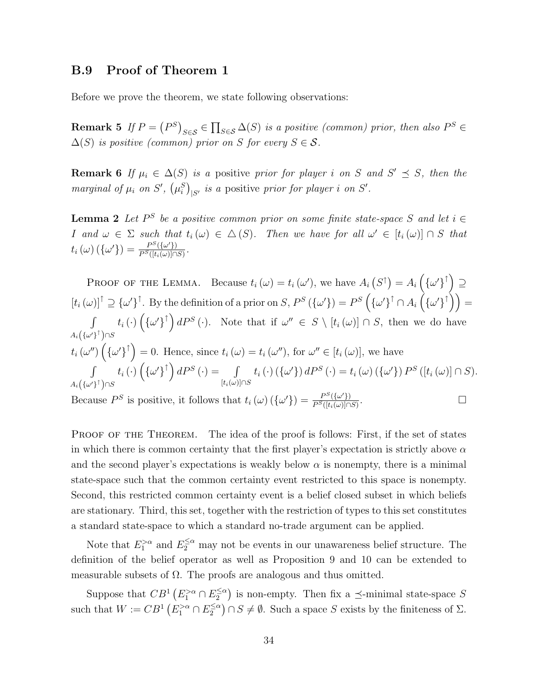# B.9 Proof of Theorem 1

Before we prove the theorem, we state following observations:

**Remark 5** If  $P = (P^S)_{S \in \mathcal{S}} \in \prod_{S \in \mathcal{S}} \Delta(S)$  is a positive (common) prior, then also  $P^S \in$  $\Delta(S)$  is positive (common) prior on S for every  $S \in \mathcal{S}$ .

**Remark 6** If  $\mu_i \in \Delta(S)$  is a positive prior for player i on S and  $S' \preceq S$ , then the marginal of  $\mu_i$  on S',  $(\mu_i^S)_{|S'}$  is a positive prior for player i on S'.

**Lemma 2** Let  $P^S$  be a positive common prior on some finite state-space S and let  $i \in$ I and  $\omega \in \Sigma$  such that  $t_i(\omega) \in \Delta(S)$ . Then we have for all  $\omega' \in [t_i(\omega)] \cap S$  that  $t_i\left(\omega\right)\left(\left\lbrace \omega'\right\rbrace\right)=\frac{P^S(\left\lbrace \omega'\right\rbrace)}{P^S(\left\lbrace t_i\left(\omega\right)\right\rbrace)}$  $P^S([t_i(\omega)] \cap S)$ .

PROOF OF THE LEMMA. Because  $t_i(\omega) = t_i(\omega')$ , we have  $A_i(S^{\uparrow}) = A_i(\{\omega'\}^{\uparrow}) \supseteq$  $[t_i(\omega)]^{\dagger} \supseteq {\{\omega'\}}^{\dagger}$ . By the definition of a prior on S,  $P^S(\{\omega'\}) = P^S(\{\omega'\}^{\dagger} \cap A_i(\{\omega'\}^{\dagger}) ) =$ R  $A_i\big(\{\omega'\}^\uparrow\big)\cap S$  $t_i(\cdot) \left( {\{\omega'\}}^{\dagger} \right) dP^S(\cdot)$ . Note that if  $\omega'' \in S \setminus [t_i(\omega)] \cap S$ , then we do have  $t_i(\omega'')\left(\{\omega'\}^{\uparrow}\right)=0.$  Hence, since  $t_i(\omega)=t_i(\omega'')$ , for  $\omega''\in[t_i(\omega)]$ , we have R  $A_i\big(\{\omega'\}^\uparrow\big)\cap S$  $t_{i}\left(\cdot\right)\left(\left\{\omega'\right\} ^{\uparrow}\right)dP^{S}\left(\cdot\right) =\quad\int$  $[t_i(\omega)]$ ∩ $S$  $t_i(\cdot) (\{\omega'\}) dP^S(\cdot) = t_i(\omega) (\{\omega'\}) P^S([t_i(\omega)] \cap S).$ Because  $P^S$  is positive, it follows that  $t_i(\omega)$   $(\{\omega'\}) = \frac{P^S(\{\omega'\})}{P^S(\{t_i(\omega)\})}$  $\overline{P^S([t_i(\omega)]\cap S)}$ . — Процессиональные просто производства и продага в собстановки с производствовки с производствовки с произво<br>В собстановки с производствовки с производствовки с производствовки с производствовки с производствовки с прои

PROOF OF THE THEOREM. The idea of the proof is follows: First, if the set of states in which there is common certainty that the first player's expectation is strictly above  $\alpha$ and the second player's expectations is weakly below  $\alpha$  is nonempty, there is a minimal state-space such that the common certainty event restricted to this space is nonempty. Second, this restricted common certainty event is a belief closed subset in which beliefs are stationary. Third, this set, together with the restriction of types to this set constitutes a standard state-space to which a standard no-trade argument can be applied.

Note that  $E_1^{>\alpha}$  and  $E_2^{\leq \alpha}$  may not be events in our unawareness belief structure. The definition of the belief operator as well as Proposition 9 and 10 can be extended to measurable subsets of  $\Omega$ . The proofs are analogous and thus omitted.

Suppose that  $CB^1(E_1^{\geq \alpha} \cap E_2^{\leq \alpha})$  $\binom{\leq \alpha}{2}$  is non-empty. Then fix a  $\preceq$ -minimal state-space S such that  $W := CB^1 \left( E_1^{>\alpha} \cap E_2^{\leq \alpha} \right)$  $(\frac{1}{2}^{\infty}) \cap S \neq \emptyset$ . Such a space S exists by the finiteness of  $\Sigma$ .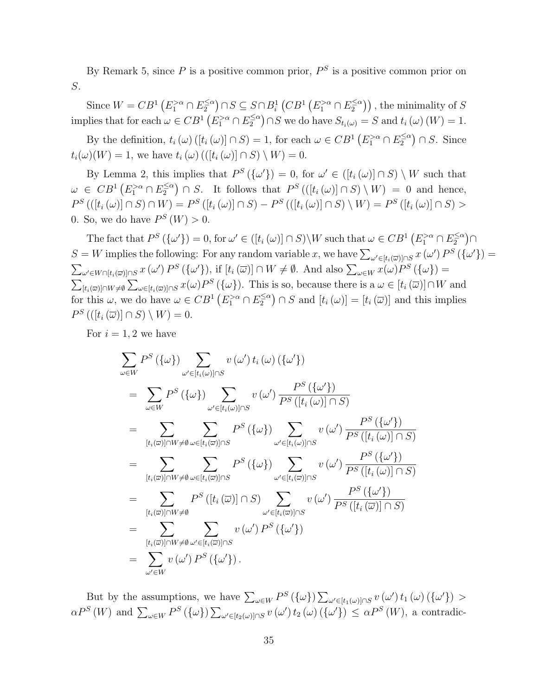By Remark 5, since  $P$  is a positive common prior,  $P^S$  is a positive common prior on S.

Since  $W = CB^1 (E_1^{>\alpha} \cap E_2^{\leq \alpha})$  $\binom{1}{2} \cap S \subseteq S \cap B_i^1 \left( CB^1 \left( E_1^{> \alpha} \cap E_2^{\leq \alpha} \right) \right)$  $(\frac{1}{2}a)$ ), the minimality of S implies that for each  $\omega \in CB^1(E_1^{>\alpha} \cap E_2^{\leq \alpha})$  $\binom{\leq \alpha}{2} \cap S$  we do have  $S_{t_i(\omega)} = S$  and  $t_i(\omega)(W) = 1$ .

By the definition,  $t_i(\omega) ([t_i(\omega)] \cap S) = 1$ , for each  $\omega \in CB^1 (E_1^{>\alpha} \cap E_2^{\leq \alpha})$  $\binom{1 \leq \alpha}{2} \cap S$ . Since  $t_i(\omega)(W) = 1$ , we have  $t_i(\omega) (([t_i(\omega)] \cap S) \setminus W) = 0$ .

By Lemma 2, this implies that  $P^{S}(\{\omega'\}) = 0$ , for  $\omega' \in ([t_i(\omega)] \cap S) \setminus W$  such that  $\omega$   $\in$   $CB^1$   $(E_1^{>\alpha} \cap E_2^{\leq \alpha})$  $\binom{\leq \alpha}{2} \cap S$ . It follows that  $P^S(([t_i(\omega)] \cap S) \setminus W) = 0$  and hence,  $P^{S}(([t_i(\omega)] \cap S) \cap W) = P^{S}([t_i(\omega)] \cap S) - P^{S}(([t_i(\omega)] \cap S) \setminus W) = P^{S}([t_i(\omega)] \cap S) >$ 0. So, we do have  $P^{S}(W) > 0$ .

The fact that  $P^{S}(\{\omega'\})=0$ , for  $\omega' \in ([t_i(\omega)] \cap S) \setminus W$  such that  $\omega \in CB^1(E_1^{>\alpha} \cap E_2^{\leq \alpha})$  $\binom{\leq\alpha}{2}\bigcap$  $S = W$  implies the following: For any random variable x, we have  $\sum_{\omega' \in [t_i(\overline{\omega})] \cap S} x(\omega') P^S(\{\omega'\}) =$  $\sum_{\omega' \in W \cap [t_i(\overline{\omega})] \cap S} x(\omega') P^S(\{\omega'\}),$  if  $[t_i(\overline{\omega})] \cap W \neq \emptyset$ . And also  $\sum_{\omega \in W} x(\omega) P^S(\{\omega\}) =$  $\sum_{[t_i(\overline{\omega})] \cap W \neq \emptyset} \sum_{\omega \in [t_i(\overline{\omega})] \cap S} x(\omega) P^S(\{\omega\}).$  This is so, because there is a  $\omega \in [t_i(\overline{\omega})] \cap W$  and for this  $\omega$ , we do have  $\omega \in CB^1(E_1^{>\alpha} \cap E_2^{\leq \alpha})$  $(\frac{\leq \alpha}{2}) \cap S$  and  $[t_i(\omega)] = [t_i(\overline{\omega})]$  and this implies  $P^{S}((t_i(\overline{\omega})]\cap S)\setminus W)=0.$ 

For  $i = 1, 2$  we have

$$
\sum_{\omega \in W} P^{S}(\{\omega\}) \sum_{\omega' \in [t_i(\omega)] \cap S} v(\omega') t_i(\omega) (\{\omega'\})
$$
\n
$$
= \sum_{\omega \in W} P^{S}(\{\omega\}) \sum_{\omega' \in [t_i(\omega)] \cap S} v(\omega') \frac{P^{S}(\{\omega'\})}{P^{S}([t_i(\omega)] \cap S)}
$$
\n
$$
= \sum_{[t_i(\overline{\omega})] \cap W \neq \emptyset} \sum_{\omega \in [t_i(\overline{\omega})] \cap S} P^{S}(\{\omega\}) \sum_{\omega' \in [t_i(\omega)] \cap S} v(\omega') \frac{P^{S}(\{\omega'\})}{P^{S}([t_i(\omega)] \cap S)}
$$
\n
$$
= \sum_{[t_i(\overline{\omega})] \cap W \neq \emptyset} \sum_{\omega \in [t_i(\overline{\omega})] \cap S} P^{S}(\{\omega\}) \sum_{\omega' \in [t_i(\overline{\omega})] \cap S} v(\omega') \frac{P^{S}(\{\omega'\})}{P^{S}([t_i(\omega)] \cap S)}
$$
\n
$$
= \sum_{[t_i(\overline{\omega})] \cap W \neq \emptyset} P^{S}([t_i(\overline{\omega})] \cap S) \sum_{\omega' \in [t_i(\overline{\omega})] \cap S} v(\omega') \frac{P^{S}(\{\omega'\})}{P^{S}([t_i(\overline{\omega})] \cap S)}
$$
\n
$$
= \sum_{[t_i(\overline{\omega})] \cap W \neq \emptyset} \sum_{\omega' \in [t_i(\overline{\omega})] \cap S} v(\omega') P^{S}(\{\omega'\})
$$
\n
$$
= \sum_{\omega' \in W} v(\omega') P^{S}(\{\omega'\}).
$$

But by the assumptions, we have  $\sum_{\omega \in W} P^S(\{\omega\}) \sum_{\omega' \in [t_1(\omega)] \cap S} v(\omega') t_1(\omega) (\{\omega'\}) >$  $\alpha P^{S}(W)$  and  $\sum_{\omega \in W} P^{S}(\{\omega\}) \sum_{\omega' \in [t_{2}(\omega)] \cap S} v(\omega') t_{2}(\omega) (\{\omega'\}) \leq \alpha P^{S}(W)$ , a contradic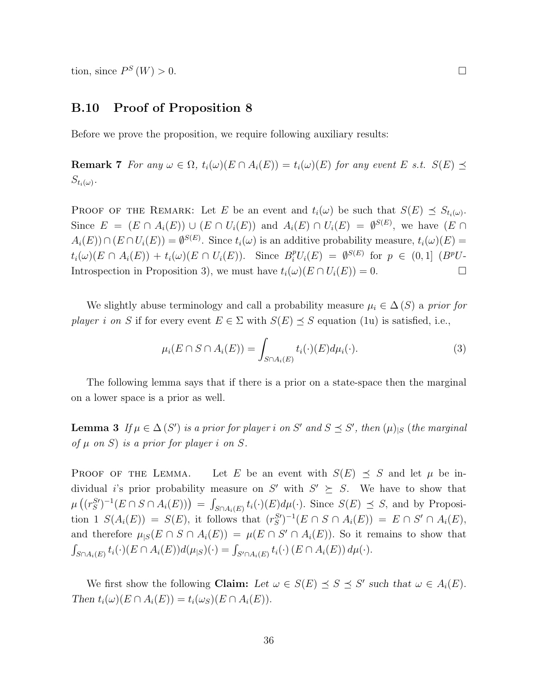tion, since  $P^S(W) > 0$ .

# B.10 Proof of Proposition 8

Before we prove the proposition, we require following auxiliary results:

**Remark 7** For any  $\omega \in \Omega$ ,  $t_i(\omega)(E \cap A_i(E)) = t_i(\omega)(E)$  for any event E s.t.  $S(E) \preceq$  $S_{t_i(\omega)}$ .

PROOF OF THE REMARK: Let E be an event and  $t_i(\omega)$  be such that  $S(E) \preceq S_{t_i(\omega)}$ . Since  $E = (E \cap A_i(E)) \cup (E \cap U_i(E))$  and  $A_i(E) \cap U_i(E) = \emptyset^{S(E)}$ , we have  $(E \cap B_i)$  $A_i(E)$ )∩( $E \cap U_i(E)$ ) =  $\emptyset^{S(E)}$ . Since  $t_i(\omega)$  is an additive probability measure,  $t_i(\omega)(E)$  =  $t_i(\omega)(E \cap A_i(E)) + t_i(\omega)(E \cap U_i(E)).$  Since  $B_i^p U_i(E) = \emptyset^{S(E)}$  for  $p \in (0,1]$  ( $B^p U$ Introspection in Proposition 3), we must have  $t_i(\omega)(E \cap U_i(E)) = 0$ .

We slightly abuse terminology and call a probability measure  $\mu_i \in \Delta(S)$  a prior for player i on S if for every event  $E \in \Sigma$  with  $S(E) \preceq S$  equation (1u) is satisfied, i.e.,

$$
\mu_i(E \cap S \cap A_i(E)) = \int_{S \cap A_i(E)} t_i(\cdot)(E) d\mu_i(\cdot). \tag{3}
$$

The following lemma says that if there is a prior on a state-space then the marginal on a lower space is a prior as well.

**Lemma 3** If  $\mu \in \Delta(S')$  is a prior for player i on S' and  $S \preceq S'$ , then  $(\mu)_{|S}$  (the marginal of  $\mu$  on  $S$ ) is a prior for player i on  $S$ .

PROOF OF THE LEMMA. Let E be an event with  $S(E) \preceq S$  and let  $\mu$  be individual i's prior probability measure on S' with  $S' \succeq S$ . We have to show that  $\mu\left((r_S^{S\prime})^{-1}(E\cap S\cap A_i(E))\right) = \int_{S\cap A_i(E)} t_i(\cdot)(E)d\mu(\cdot)$ . Since  $S(E) \preceq S$ , and by Proposition 1  $S(A_i(E)) = S(E)$ , it follows that  $(r_S^{S})^{-1}(E \cap S \cap A_i(E)) = E \cap S' \cap A_i(E)$ , and therefore  $\mu_{|S}(E \cap S \cap A_i(E)) = \mu(E \cap S' \cap A_i(E))$ . So it remains to show that  $\int_{S \cap A_i(E)} t_i(\cdot)(E \cap A_i(E)) d(\mu_{|S})(\cdot) = \int_{S' \cap A_i(E)} t_i(\cdot) (E \cap A_i(E)) d\mu(\cdot).$ 

We first show the following Claim: Let  $\omega \in S(E) \preceq S \preceq S'$  such that  $\omega \in A_i(E)$ . Then  $t_i(\omega)(E \cap A_i(E)) = t_i(\omega_S)(E \cap A_i(E)).$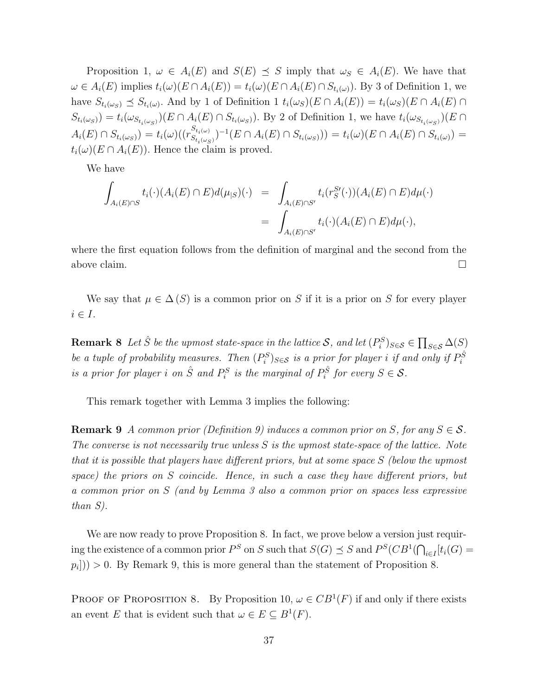Proposition 1,  $\omega \in A_i(E)$  and  $S(E) \preceq S$  imply that  $\omega_S \in A_i(E)$ . We have that  $\omega \in A_i(E)$  implies  $t_i(\omega)(E \cap A_i(E)) = t_i(\omega)(E \cap A_i(E) \cap S_{t_i(\omega)})$ . By 3 of Definition 1, we have  $S_{t_i(\omega_S)} \preceq S_{t_i(\omega)}$ . And by 1 of Definition 1  $t_i(\omega_S)(E \cap A_i(E)) = t_i(\omega_S)(E \cap A_i(E) \cap$  $S_{t_i(\omega_S)})=t_i(\omega_{S_{t_i(\omega_S)}})(E \cap A_i(E) \cap S_{t_i(\omega_S)})$ . By 2 of Definition 1, we have  $t_i(\omega_{S_{t_i(\omega_S)}})(E \cap A_i(E))$  $A_i(E) \cap S_{t_i(\omega_S)} = t_i(\omega)((r_{S_{t_i(\omega_S)}}^{S_{t_i(\omega)}})^{-1}(E \cap A_i(E) \cap S_{t_i(\omega_S)})) = t_i(\omega)(E \cap A_i(E) \cap S_{t_i(\omega)}) =$  $t_i(\omega)(E \cap A_i(E))$ . Hence the claim is proved.

We have

$$
\int_{A_i(E)\cap S} t_i(\cdot)(A_i(E)\cap E)d(\mu_{|S})(\cdot) = \int_{A_i(E)\cap S'} t_i(r_S^{S'}(\cdot))(A_i(E)\cap E)d\mu(\cdot) = \int_{A_i(E)\cap S'} t_i(\cdot)(A_i(E)\cap E)d\mu(\cdot),
$$

where the first equation follows from the definition of marginal and the second from the above claim.  $\Box$ 

We say that  $\mu \in \Delta(S)$  is a common prior on S if it is a prior on S for every player  $i \in I$ .

**Remark 8** Let  $\hat{S}$  be the upmost state-space in the lattice  $S$ , and let  $(P_i^S)_{S \in S} \in \prod_{S \in S} \Delta(S)$ be a tuple of probability measures. Then  $(P_i^S)_{S \in \mathcal{S}}$  is a prior for player i if and only if  $P_i^{\hat{S}}$ is a prior for player i on  $\hat{S}$  and  $P_i^S$  is the marginal of  $P_i^{\hat{S}}$  for every  $S \in \mathcal{S}$ .

This remark together with Lemma 3 implies the following:

**Remark 9** A common prior (Definition 9) induces a common prior on S, for any  $S \in \mathcal{S}$ . The converse is not necessarily true unless  $S$  is the upmost state-space of the lattice. Note that it is possible that players have different priors, but at some space S (below the upmost space) the priors on S coincide. Hence, in such a case they have different priors, but a common prior on S (and by Lemma 3 also a common prior on spaces less expressive than S).

We are now ready to prove Proposition 8. In fact, we prove below a version just requiring the existence of a common prior  $P^S$  on S such that  $S(G) \preceq S$  and  $P^S(CB^1(\bigcap_{i \in I} [t_i(G) =$  $p_i$ )) > 0. By Remark 9, this is more general than the statement of Proposition 8.

PROOF OF PROPOSITION 8. By Proposition 10,  $\omega \in CB^1(F)$  if and only if there exists an event E that is evident such that  $\omega \in E \subseteq B^1(F)$ .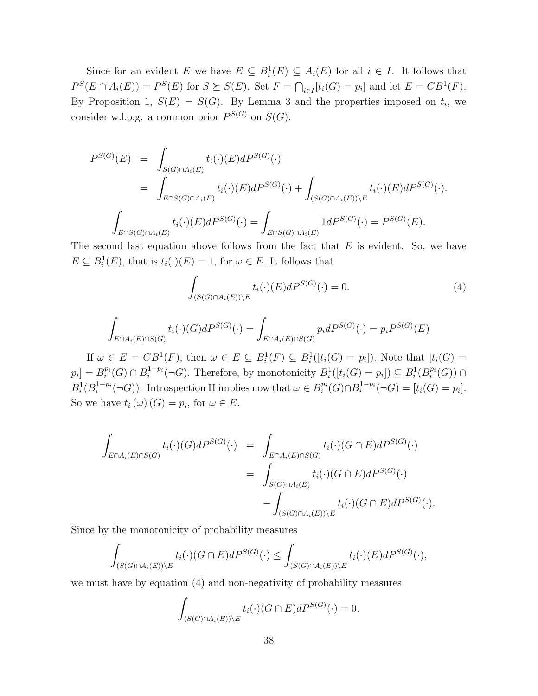Since for an evident E we have  $E \subseteq B_i^1(E) \subseteq A_i(E)$  for all  $i \in I$ . It follows that  $P^{S}(E \cap A_i(E)) = P^{S}(E)$  for  $S \succeq S(E)$ . Set  $F = \bigcap_{i \in I} [t_i(G) = p_i]$  and let  $E = CB^1(F)$ . By Proposition 1,  $S(E) = S(G)$ . By Lemma 3 and the properties imposed on  $t_i$ , we consider w.l.o.g. a common prior  $P^{S(G)}$  on  $S(G)$ .

$$
P^{S(G)}(E) = \int_{S(G)\cap A_i(E)} t_i(\cdot)(E)dP^{S(G)}(\cdot)
$$
  
= 
$$
\int_{E\cap S(G)\cap A_i(E)} t_i(\cdot)(E)dP^{S(G)}(\cdot) + \int_{(S(G)\cap A_i(E))\backslash E} t_i(\cdot)(E)dP^{S(G)}(\cdot).
$$
  

$$
\int_{E\cap S(G)\cap A_i(E)} t_i(\cdot)(E)dP^{S(G)}(\cdot) = \int_{E\cap S(G)\cap A_i(E)} 1dP^{S(G)}(\cdot) = P^{S(G)}(E).
$$

The second last equation above follows from the fact that  $E$  is evident. So, we have  $E \subseteq B_i^1(E)$ , that is  $t_i(\cdot)(E) = 1$ , for  $\omega \in E$ . It follows that

$$
\int_{(S(G)\cap A_i(E))\backslash E} t_i(\cdot)(E)dP^{S(G)}(\cdot) = 0.
$$
\n(4)

$$
\int_{E \cap A_i(E) \cap S(G)} t_i(\cdot)(G) dP^{S(G)}(\cdot) = \int_{E \cap A_i(E) \cap S(G)} p_i dP^{S(G)}(\cdot) = p_i P^{S(G)}(E)
$$

If  $\omega \in E = CB^1(F)$ , then  $\omega \in E \subseteq B_i^1(F) \subseteq B_i^1([t_i(G) = p_i])$ . Note that  $[t_i(G) = p_i]$  $[p_i] = B_i^{p_i}$  $i^{p_i}(G) \cap B_i^{1-p_i}$  $i^{1-p_i}(\neg G)$ . Therefore, by monotonicity  $B_i^1([t_i(G) = p_i]) \subseteq B_i^1(B_i^{p_i})$  $i^{p_i}(G))\cap$  $B_i^1(B_i^{1-p_i})$  $i^{1-p_i}(\neg G)$ ). Introspection II implies now that  $\omega \in B_i^{p_i}$  $i^{p_i}(G) \cap B_i^{1-p_i}$  $i^{1-p_i}(\neg G) = [t_i(G) = p_i].$ So we have  $t_i(\omega)(G) = p_i$ , for  $\omega \in E$ .

$$
\int_{E \cap A_i(E) \cap S(G)} t_i(\cdot)(G) dP^{S(G)}(\cdot) = \int_{E \cap A_i(E) \cap S(G)} t_i(\cdot)(G \cap E) dP^{S(G)}(\cdot)
$$
\n
$$
= \int_{S(G) \cap A_i(E)} t_i(\cdot)(G \cap E) dP^{S(G)}(\cdot)
$$
\n
$$
- \int_{(S(G) \cap A_i(E)) \backslash E} t_i(\cdot)(G \cap E) dP^{S(G)}(\cdot).
$$

Since by the monotonicity of probability measures

$$
\int_{(S(G)\cap A_i(E))\backslash E} t_i(\cdot)(G\cap E)dP^{S(G)}(\cdot) \leq \int_{(S(G)\cap A_i(E))\backslash E} t_i(\cdot)(E)dP^{S(G)}(\cdot),
$$

we must have by equation (4) and non-negativity of probability measures

$$
\int_{(S(G)\cap A_i(E))\backslash E} t_i(\cdot)(G\cap E)dP^{S(G)}(\cdot)=0.
$$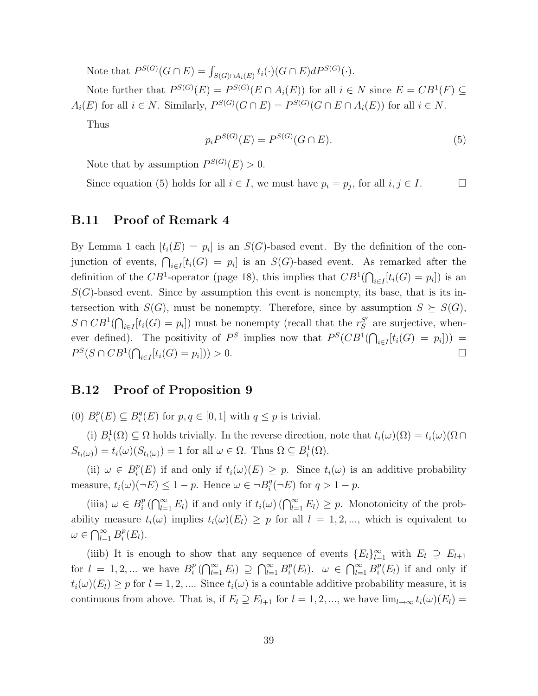Note that  $P^{S(G)}(G \cap E) = \int_{S(G) \cap A_i(E)} t_i(\cdot)(G \cap E) dP^{S(G)}(\cdot).$ 

Note further that  $P^{S(G)}(E) = P^{S(G)}(E \cap A_i(E))$  for all  $i \in N$  since  $E = CB^1(F) \subseteq$  $A_i(E)$  for all  $i \in N$ . Similarly,  $P^{S(G)}(G \cap E) = P^{S(G)}(G \cap E \cap A_i(E))$  for all  $i \in N$ .

Thus

$$
p_i P^{S(G)}(E) = P^{S(G)}(G \cap E). \tag{5}
$$

Note that by assumption  $P^{S(G)}(E) > 0$ .

Since equation (5) holds for all  $i \in I$ , we must have  $p_i = p_j$ , for all  $i, j \in I$ .

# B.11 Proof of Remark 4

By Lemma 1 each  $[t_i(E) = p_i]$  is an  $S(G)$ -based event. By the definition of the conjunction of events,  $\bigcap_{i\in I} [t_i(G)] = p_i$  is an  $S(G)$ -based event. As remarked after the definition of the CB<sup>1</sup>-operator (page 18), this implies that  $CB^1(\bigcap_{i\in I} [t_i(G) = p_i])$  is an  $S(G)$ -based event. Since by assumption this event is nonempty, its base, that is its intersection with  $S(G)$ , must be nonempty. Therefore, since by assumption  $S \succeq S(G)$ ,  $S \cap CB^1(\bigcap_{i \in I} [t_i(G) = p_i])$  must be nonempty (recall that the  $r_S^{S'}$  $S'$  are surjective, whenever defined). The positivity of  $P^S$  implies now that  $P^S(CB^1(\bigcap_{i\in I}[t_i(G) = p_i])) =$  $P^{S}(S \cap CB^{1}(\bigcap_{i \in I} [t_{i}(G) = p_{i}])) > 0.$ 

# B.12 Proof of Proposition 9

 $(0)$   $B_i^p$  $_i^p(E) \subseteq B_i^q$  $i<sup>q</sup>(E)$  for  $p, q \in [0, 1]$  with  $q \leq p$  is trivial.

(i)  $B_i^1(\Omega) \subseteq \Omega$  holds trivially. In the reverse direction, note that  $t_i(\omega)(\Omega) = t_i(\omega)(\Omega \cap$  $S_{t_i(\omega)}$  =  $t_i(\omega)(S_{t_i(\omega)}) = 1$  for all  $\omega \in \Omega$ . Thus  $\Omega \subseteq B_i^1(\Omega)$ .

(ii)  $\omega \in B_i^p$  $i(E)$  if and only if  $t_i(\omega)(E) \geq p$ . Since  $t_i(\omega)$  is an additive probability measure,  $t_i(\omega)(\neg E) \leq 1 - p$ . Hence  $\omega \in \neg B_i^q$  $i^q(-E)$  for  $q>1-p$ .

(iiia)  $\omega \in B_i^p$  $\prod_{i=1}^{p} E_i$  if and only if  $t_i(\omega)$  ( $\bigcap_{l=1}^{\infty} E_l$ )  $\geq p$ . Monotonicity of the probability measure  $t_i(\omega)$  implies  $t_i(\omega)(E_l) \geq p$  for all  $l = 1, 2, ...,$  which is equivalent to  $\omega \in \bigcap_{l=1}^{\infty} B_{i}^{p}$  $_i^p(E_l)$ .

(iiib) It is enough to show that any sequence of events  ${E_l}_{l=1}^{\infty}$  with  $E_l \supseteq E_{l+1}$ for  $l = 1, 2, ...$  we have  $B_i^p$  $\bigcap_{i=1}^p E_i \bigcap_{l=1}^\infty E_l$   $\bigcap_{l=1}^\infty B_i^p$  $i^p(E_l)$ .  $\omega \in \bigcap_{l=1}^{\infty} B_l^p$  $i^p(E_l)$  if and only if  $t_i(\omega)(E_l) \geq p$  for  $l = 1, 2, \dots$  Since  $t_i(\omega)$  is a countable additive probability measure, it is continuous from above. That is, if  $E_l \supseteq E_{l+1}$  for  $l = 1, 2, ...,$  we have  $\lim_{l \to \infty} t_i(\omega)(E_l) =$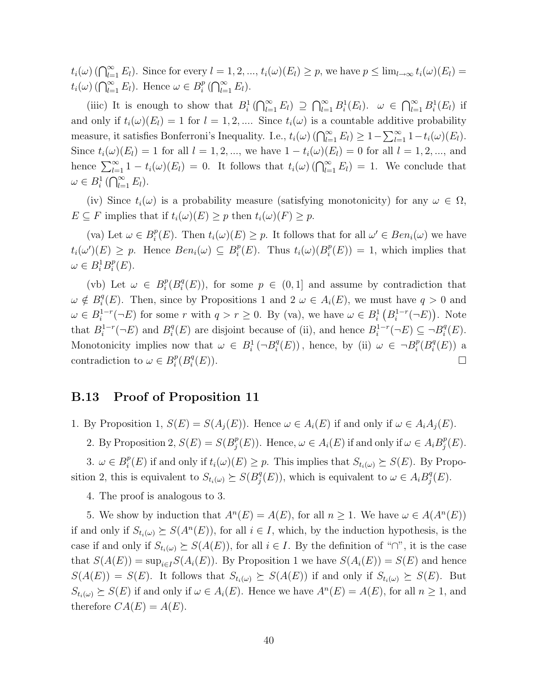$t_i(\omega)$  ( $\bigcap_{l=1}^{\infty} E_l$ ). Since for every  $l = 1, 2, ..., t_i(\omega)$   $(E_l) \geq p$ , we have  $p \leq \lim_{l \to \infty} t_i(\omega)$  $(E_l) =$  $t_i(\omega)$  ( $\bigcap_{l=1}^{\infty} E_l$ ). Hence  $\omega \in B_i^p$  $i^p \left( \bigcap_{l=1}^{\infty} E_l \right).$ 

(iiic) It is enough to show that  $B_i^1(\bigcap_{l=1}^{\infty} E_l) \supseteq \bigcap_{l=1}^{\infty} B_i^1(E_l)$ .  $\omega \in \bigcap_{l=1}^{\infty} B_i^1(E_l)$  if and only if  $t_i(\omega)(E_l) = 1$  for  $l = 1, 2, ...$  Since  $t_i(\omega)$  is a countable additive probability measure, it satisfies Bonferroni's Inequality. I.e.,  $t_i(\omega)$  ( $\bigcap_{l=1}^{\infty} E_l$ )  $\geq 1-\sum_{l=1}^{\infty} 1-t_i(\omega)(E_l)$ . Since  $t_i(\omega)(E_l) = 1$  for all  $l = 1, 2, ...,$  we have  $1 - t_i(\omega)(E_l) = 0$  for all  $l = 1, 2, ...,$  and hence  $\sum_{l=1}^{\infty} 1 - t_i(\omega)(E_l) = 0$ . It follows that  $t_i(\omega)(\bigcap_{l=1}^{\infty} E_l) = 1$ . We conclude that  $\omega \in B_i^1 \left( \bigcap_{l=1}^\infty E_l \right).$ 

(iv) Since  $t_i(\omega)$  is a probability measure (satisfying monotonicity) for any  $\omega \in \Omega$ ,  $E \subseteq F$  implies that if  $t_i(\omega)(E) \geq p$  then  $t_i(\omega)(F) \geq p$ .

(va) Let  $\omega \in B_i^p$  $i(E)$ . Then  $t_i(\omega)(E) \geq p$ . It follows that for all  $\omega' \in Ben_i(\omega)$  we have  $t_i(\omega')(E) \geq p$ . Hence  $Ben_i(\omega) \subseteq B_i^p$  $i^p(E)$ . Thus  $t_i(\omega)(B_i^p)$  $i^p(E)$  = 1, which implies that  $\omega \in B_i^1 B_i^p$  $_i^p(E).$ 

(vb) Let  $\omega \in B_i^p$  $_i^p(B_i^q)$  $i(E)$ , for some  $p \in (0,1]$  and assume by contradiction that  $\omega \notin B_i^q$  $i<sup>q</sup>(E)$ . Then, since by Propositions 1 and 2  $\omega \in A_i(E)$ , we must have  $q > 0$  and  $\omega \in B_i^{1-r}(\neg E)$  for some r with  $q > r \ge 0$ . By (va), we have  $\omega \in B_i^1(B_i^{1-r}(\neg E))$ . Note that  $B_i^{1-r}(\neg E)$  and  $B_i^q$ <sup>q</sup>(E) are disjoint because of (ii), and hence  $B_i^{1-r}(\neg E)$  ⊆  $\neg B_i^q$  $_i^q(E).$ Monotonicity implies now that  $\omega \in B_i^1(\neg B_i^q)$  $i^q(E)$ , hence, by (ii)  $\omega \in \neg B_i^p$  $_i^p(B_i^q)$  $_i^q(E)$  a contradiction to  $\omega \in B_i^p$  $_i^p(B_i^q)$ i  $(E)$ ).

# B.13 Proof of Proposition 11

1. By Proposition 1,  $S(E) = S(A_i(E))$ . Hence  $\omega \in A_i(E)$  if and only if  $\omega \in A_iA_j(E)$ .

2. By Proposition 2,  $S(E) = S(B_i^p)$  $j^p(E)$ ). Hence,  $\omega \in A_i(E)$  if and only if  $\omega \in A_i B_j^p$  $_j^p(E).$ 

3.  $\omega \in B_i^p$  $i(E)$  if and only if  $t_i(\omega)(E) \geq p$ . This implies that  $S_{t_i(\omega)} \succeq S(E)$ . By Proposition 2, this is equivalent to  $S_{t_i(\omega)} \succeq S(B_j^q)$  $j^q(E)$ , which is equivalent to  $\omega \in A_i B_j^q$  $_j^q(E).$ 

4. The proof is analogous to 3.

5. We show by induction that  $A<sup>n</sup>(E) = A(E)$ , for all  $n \ge 1$ . We have  $\omega \in A(A<sup>n</sup>(E))$ if and only if  $S_{t_i(\omega)} \succeq S(A^n(E))$ , for all  $i \in I$ , which, by the induction hypothesis, is the case if and only if  $S_{t_i(\omega)} \succeq S(A(E))$ , for all  $i \in I$ . By the definition of "∩", it is the case that  $S(A(E)) = \sup_{i \in I} S(A_i(E))$ . By Proposition 1 we have  $S(A_i(E)) = S(E)$  and hence  $S(A(E)) = S(E)$ . It follows that  $S_{t_i(\omega)} \succeq S(A(E))$  if and only if  $S_{t_i(\omega)} \succeq S(E)$ . But  $S_{t_i(\omega)} \succeq S(E)$  if and only if  $\omega \in A_i(E)$ . Hence we have  $A^n(E) = A(E)$ , for all  $n \ge 1$ , and therefore  $CA(E) = A(E)$ .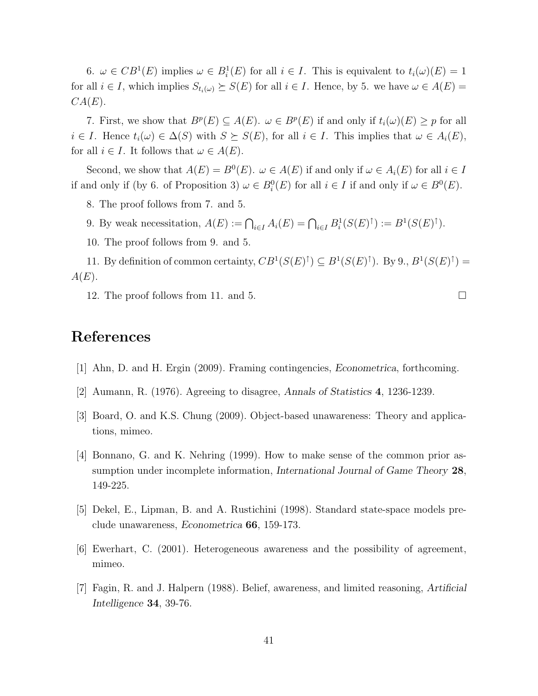6.  $\omega \in CB^1(E)$  implies  $\omega \in B_i^1(E)$  for all  $i \in I$ . This is equivalent to  $t_i(\omega)(E) = 1$ for all  $i \in I$ , which implies  $S_{t_i(\omega)} \succeq S(E)$  for all  $i \in I$ . Hence, by 5. we have  $\omega \in A(E)$  $CA(E).$ 

7. First, we show that  $B^p(E) \subseteq A(E)$ .  $\omega \in B^p(E)$  if and only if  $t_i(\omega)(E) \geq p$  for all  $i \in I$ . Hence  $t_i(\omega) \in \Delta(S)$  with  $S \succeq S(E)$ , for all  $i \in I$ . This implies that  $\omega \in A_i(E)$ , for all  $i \in I$ . It follows that  $\omega \in A(E)$ .

Second, we show that  $A(E) = B^0(E)$ .  $\omega \in A(E)$  if and only if  $\omega \in A_i(E)$  for all  $i \in I$ if and only if (by 6. of Proposition 3)  $\omega \in B_i^0(E)$  for all  $i \in I$  if and only if  $\omega \in B^0(E)$ .

- 8. The proof follows from 7. and 5.
- 9. By weak necessitation,  $A(E) := \bigcap_{i \in I} A_i(E) = \bigcap_{i \in I} B_i^1(S(E)^{\uparrow}) := B^1(S(E)^{\uparrow}).$
- 10. The proof follows from 9. and 5.

11. By definition of common certainty,  $CB^1(S(E)^{\uparrow}) \subseteq B^1(S(E)^{\uparrow})$ . By 9.,  $B^1(S(E)^{\uparrow}) =$  $A(E).$ 

12. The proof follows from 11. and 5.

# References

- [1] Ahn, D. and H. Ergin (2009). Framing contingencies, Econometrica, forthcoming.
- [2] Aumann, R. (1976). Agreeing to disagree, Annals of Statistics 4, 1236-1239.
- [3] Board, O. and K.S. Chung (2009). Object-based unawareness: Theory and applications, mimeo.
- [4] Bonnano, G. and K. Nehring (1999). How to make sense of the common prior assumption under incomplete information, International Journal of Game Theory 28, 149-225.
- [5] Dekel, E., Lipman, B. and A. Rustichini (1998). Standard state-space models preclude unawareness, Econometrica 66, 159-173.
- [6] Ewerhart, C. (2001). Heterogeneous awareness and the possibility of agreement, mimeo.
- [7] Fagin, R. and J. Halpern (1988). Belief, awareness, and limited reasoning, Artificial Intelligence 34, 39-76.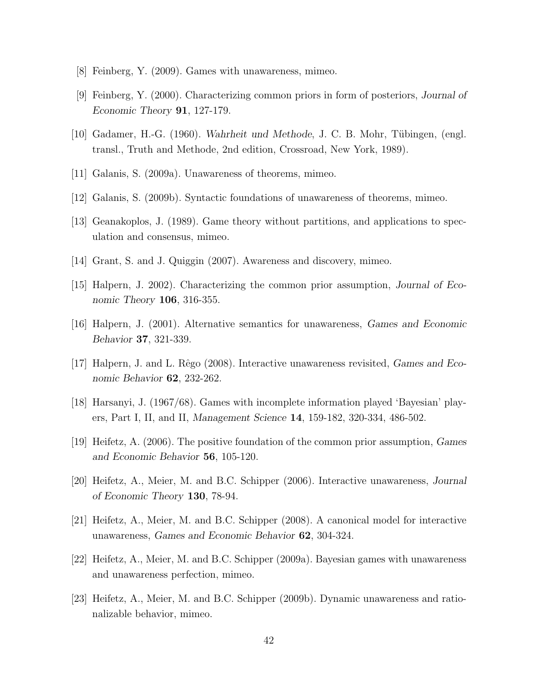- [8] Feinberg, Y. (2009). Games with unawareness, mimeo.
- [9] Feinberg, Y. (2000). Characterizing common priors in form of posteriors, Journal of Economic Theory 91, 127-179.
- [10] Gadamer, H.-G. (1960). Wahrheit und Methode, J. C. B. Mohr, Tübingen, (engl. transl., Truth and Methode, 2nd edition, Crossroad, New York, 1989).
- [11] Galanis, S. (2009a). Unawareness of theorems, mimeo.
- [12] Galanis, S. (2009b). Syntactic foundations of unawareness of theorems, mimeo.
- [13] Geanakoplos, J. (1989). Game theory without partitions, and applications to speculation and consensus, mimeo.
- [14] Grant, S. and J. Quiggin (2007). Awareness and discovery, mimeo.
- [15] Halpern, J. 2002). Characterizing the common prior assumption, Journal of Economic Theory 106, 316-355.
- [16] Halpern, J. (2001). Alternative semantics for unawareness, Games and Economic Behavior 37, 321-339.
- [17] Halpern, J. and L. Rêgo (2008). Interactive unawareness revisited, *Games and Eco*nomic Behavior 62, 232-262.
- [18] Harsanyi, J. (1967/68). Games with incomplete information played 'Bayesian' players, Part I, II, and II, Management Science 14, 159-182, 320-334, 486-502.
- [19] Heifetz, A. (2006). The positive foundation of the common prior assumption, Games and Economic Behavior 56, 105-120.
- [20] Heifetz, A., Meier, M. and B.C. Schipper (2006). Interactive unawareness, Journal of Economic Theory 130, 78-94.
- [21] Heifetz, A., Meier, M. and B.C. Schipper (2008). A canonical model for interactive unawareness, Games and Economic Behavior 62, 304-324.
- [22] Heifetz, A., Meier, M. and B.C. Schipper (2009a). Bayesian games with unawareness and unawareness perfection, mimeo.
- [23] Heifetz, A., Meier, M. and B.C. Schipper (2009b). Dynamic unawareness and rationalizable behavior, mimeo.